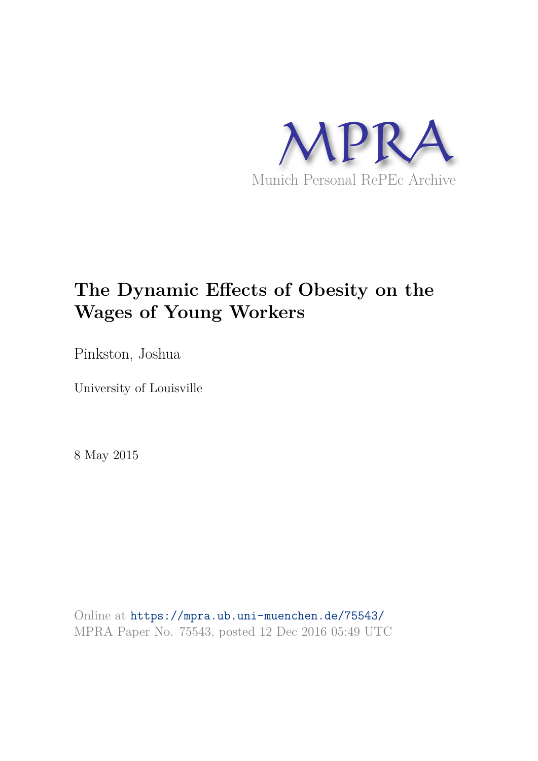

# **The Dynamic Effects of Obesity on the Wages of Young Workers**

Pinkston, Joshua

University of Louisville

8 May 2015

Online at https://mpra.ub.uni-muenchen.de/75543/ MPRA Paper No. 75543, posted 12 Dec 2016 05:49 UTC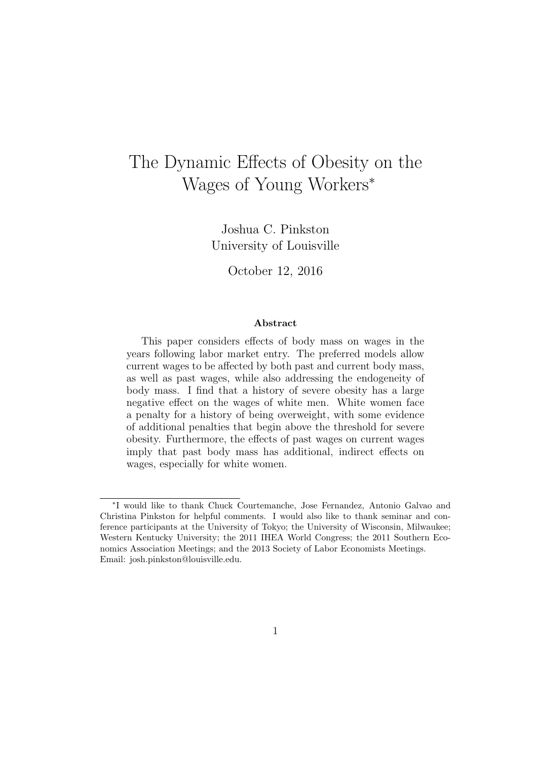## The Dynamic Effects of Obesity on the Wages of Young Workers<sup>∗</sup>

Joshua C. Pinkston University of Louisville

October 12, 2016

#### Abstract

This paper considers effects of body mass on wages in the years following labor market entry. The preferred models allow current wages to be affected by both past and current body mass, as well as past wages, while also addressing the endogeneity of body mass. I find that a history of severe obesity has a large negative effect on the wages of white men. White women face a penalty for a history of being overweight, with some evidence of additional penalties that begin above the threshold for severe obesity. Furthermore, the effects of past wages on current wages imply that past body mass has additional, indirect effects on wages, especially for white women.

<sup>∗</sup> I would like to thank Chuck Courtemanche, Jose Fernandez, Antonio Galvao and Christina Pinkston for helpful comments. I would also like to thank seminar and conference participants at the University of Tokyo; the University of Wisconsin, Milwaukee; Western Kentucky University; the 2011 IHEA World Congress; the 2011 Southern Economics Association Meetings; and the 2013 Society of Labor Economists Meetings. Email: josh.pinkston@louisville.edu.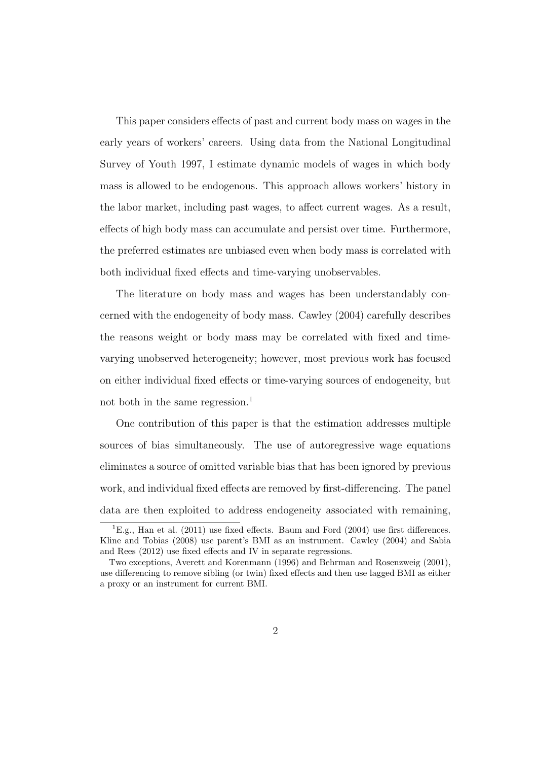This paper considers effects of past and current body mass on wages in the early years of workers' careers. Using data from the National Longitudinal Survey of Youth 1997, I estimate dynamic models of wages in which body mass is allowed to be endogenous. This approach allows workers' history in the labor market, including past wages, to affect current wages. As a result, effects of high body mass can accumulate and persist over time. Furthermore, the preferred estimates are unbiased even when body mass is correlated with both individual fixed effects and time-varying unobservables.

The literature on body mass and wages has been understandably concerned with the endogeneity of body mass. Cawley (2004) carefully describes the reasons weight or body mass may be correlated with fixed and timevarying unobserved heterogeneity; however, most previous work has focused on either individual fixed effects or time-varying sources of endogeneity, but not both in the same regression.<sup>1</sup>

One contribution of this paper is that the estimation addresses multiple sources of bias simultaneously. The use of autoregressive wage equations eliminates a source of omitted variable bias that has been ignored by previous work, and individual fixed effects are removed by first-differencing. The panel data are then exploited to address endogeneity associated with remaining,

<sup>&</sup>lt;sup>1</sup>E.g., Han et al.  $(2011)$  use fixed effects. Baum and Ford  $(2004)$  use first differences. Kline and Tobias (2008) use parent's BMI as an instrument. Cawley (2004) and Sabia and Rees (2012) use fixed effects and IV in separate regressions.

Two exceptions, Averett and Korenmann (1996) and Behrman and Rosenzweig (2001), use differencing to remove sibling (or twin) fixed effects and then use lagged BMI as either a proxy or an instrument for current BMI.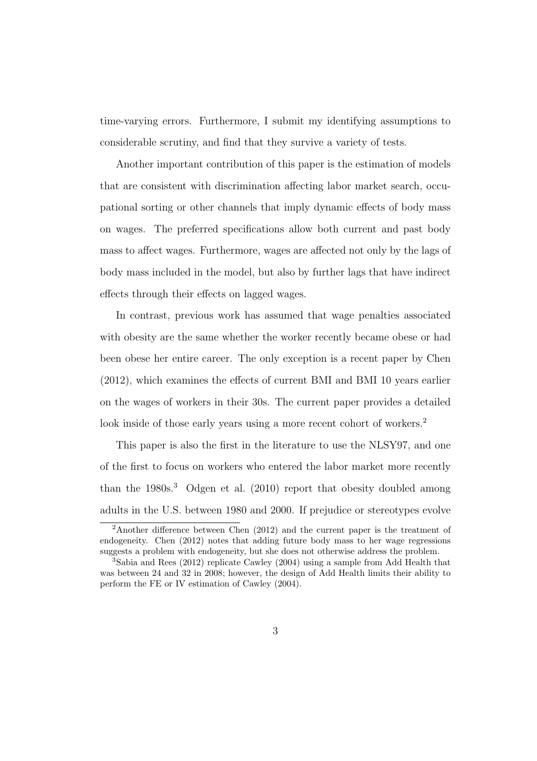time-varying errors. Furthermore, I submit my identifying assumptions to considerable scrutiny, and find that they survive a variety of tests.

Another important contribution of this paper is the estimation of models that are consistent with discrimination affecting labor market search, occupational sorting or other channels that imply dynamic effects of body mass on wages. The preferred specifications allow both current and past body mass to affect wages. Furthermore, wages are affected not only by the lags of body mass included in the model, but also by further lags that have indirect effects through their effects on lagged wages.

In contrast, previous work has assumed that wage penalties associated with obesity are the same whether the worker recently became obese or had been obese her entire career. The only exception is a recent paper by Chen (2012), which examines the effects of current BMI and BMI 10 years earlier on the wages of workers in their 30s. The current paper provides a detailed look inside of those early years using a more recent cohort of workers.<sup>2</sup>

This paper is also the first in the literature to use the NLSY97, and one of the first to focus on workers who entered the labor market more recently than the  $1980s<sup>3</sup>$  Odgen et al. (2010) report that obesity doubled among adults in the U.S. between 1980 and 2000. If prejudice or stereotypes evolve

<sup>&</sup>lt;sup>2</sup>Another difference between Chen  $(2012)$  and the current paper is the treatment of endogeneity. Chen (2012) notes that adding future body mass to her wage regressions suggests a problem with endogeneity, but she does not otherwise address the problem.

<sup>3</sup>Sabia and Rees (2012) replicate Cawley (2004) using a sample from Add Health that was between 24 and 32 in 2008; however, the design of Add Health limits their ability to perform the FE or IV estimation of Cawley (2004).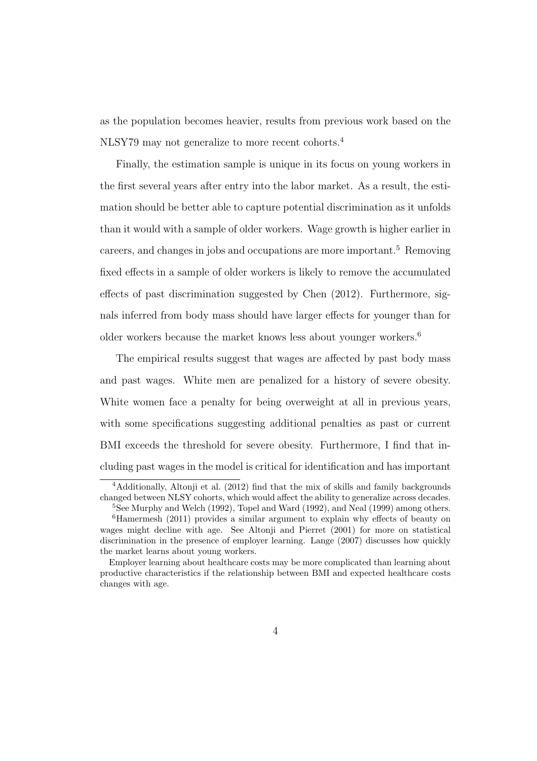as the population becomes heavier, results from previous work based on the NLSY79 may not generalize to more recent cohorts.<sup>4</sup>

Finally, the estimation sample is unique in its focus on young workers in the first several years after entry into the labor market. As a result, the estimation should be better able to capture potential discrimination as it unfolds than it would with a sample of older workers. Wage growth is higher earlier in careers, and changes in jobs and occupations are more important.<sup>5</sup> Removing fixed effects in a sample of older workers is likely to remove the accumulated effects of past discrimination suggested by Chen (2012). Furthermore, signals inferred from body mass should have larger effects for younger than for older workers because the market knows less about younger workers.<sup>6</sup>

The empirical results suggest that wages are affected by past body mass and past wages. White men are penalized for a history of severe obesity. White women face a penalty for being overweight at all in previous years, with some specifications suggesting additional penalties as past or current BMI exceeds the threshold for severe obesity. Furthermore, I find that including past wages in the model is critical for identification and has important

<sup>&</sup>lt;sup>4</sup>Additionally, Altonji et al. (2012) find that the mix of skills and family backgrounds changed between NLSY cohorts, which would affect the ability to generalize across decades.

<sup>5</sup>See Murphy and Welch (1992), Topel and Ward (1992), and Neal (1999) among others.

 ${}^{6}$ Hamermesh (2011) provides a similar argument to explain why effects of beauty on wages might decline with age. See Altonii and Pierret (2001) for more on statistical discrimination in the presence of employer learning. Lange (2007) discusses how quickly the market learns about young workers.

Employer learning about healthcare costs may be more complicated than learning about productive characteristics if the relationship between BMI and expected healthcare costs changes with age.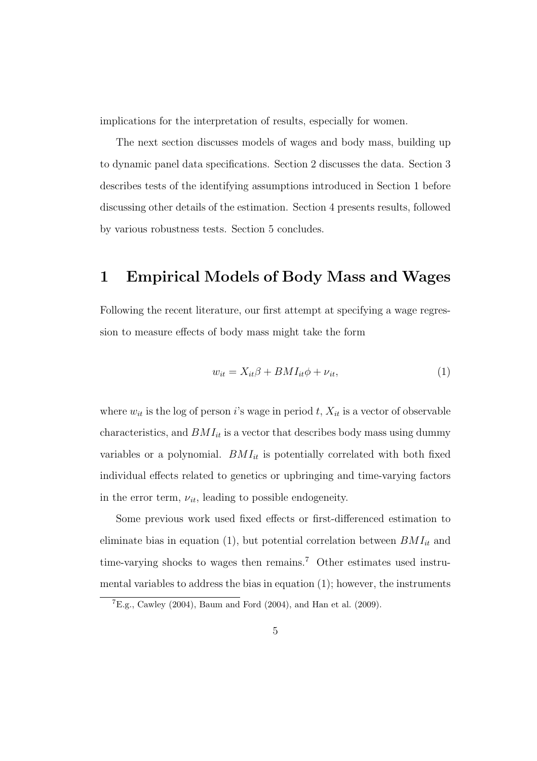implications for the interpretation of results, especially for women.

The next section discusses models of wages and body mass, building up to dynamic panel data specifications. Section 2 discusses the data. Section 3 describes tests of the identifying assumptions introduced in Section 1 before discussing other details of the estimation. Section 4 presents results, followed by various robustness tests. Section 5 concludes.

## 1 Empirical Models of Body Mass and Wages

Following the recent literature, our first attempt at specifying a wage regression to measure effects of body mass might take the form

$$
w_{it} = X_{it}\beta + BMI_{it}\phi + \nu_{it},\tag{1}
$$

where  $w_{it}$  is the log of person i's wage in period t,  $X_{it}$  is a vector of observable characteristics, and  $BMI_{it}$  is a vector that describes body mass using dummy variables or a polynomial.  $BMI_{it}$  is potentially correlated with both fixed individual effects related to genetics or upbringing and time-varying factors in the error term,  $\nu_{it}$ , leading to possible endogeneity.

Some previous work used fixed effects or first-differenced estimation to eliminate bias in equation (1), but potential correlation between  $BMI_{it}$  and time-varying shocks to wages then remains.<sup>7</sup> Other estimates used instrumental variables to address the bias in equation (1); however, the instruments

 ${}^{7}E.g.,$  Cawley (2004), Baum and Ford (2004), and Han et al. (2009).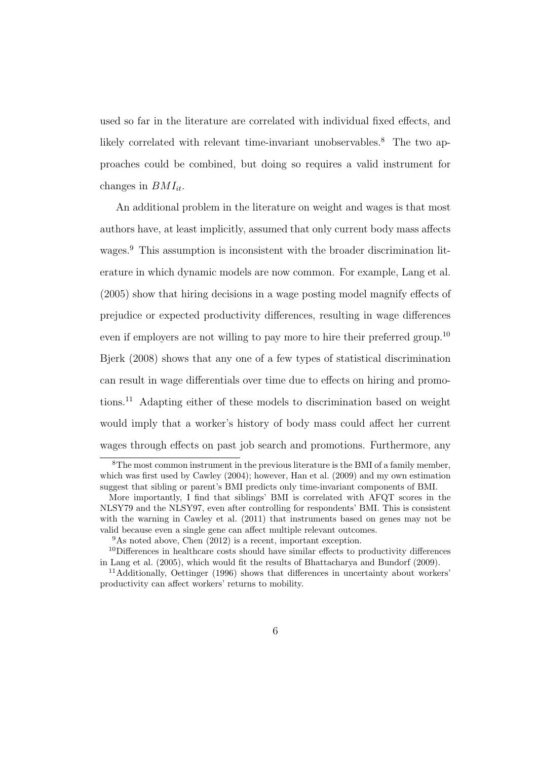used so far in the literature are correlated with individual fixed effects, and likely correlated with relevant time-invariant unobservables.<sup>8</sup> The two approaches could be combined, but doing so requires a valid instrument for changes in  $BMI_{it}$ .

An additional problem in the literature on weight and wages is that most authors have, at least implicitly, assumed that only current body mass affects wages.<sup>9</sup> This assumption is inconsistent with the broader discrimination literature in which dynamic models are now common. For example, Lang et al. (2005) show that hiring decisions in a wage posting model magnify effects of prejudice or expected productivity differences, resulting in wage differences even if employers are not willing to pay more to hire their preferred group.<sup>10</sup> Bjerk (2008) shows that any one of a few types of statistical discrimination can result in wage differentials over time due to effects on hiring and promotions.<sup>11</sup> Adapting either of these models to discrimination based on weight would imply that a worker's history of body mass could affect her current wages through effects on past job search and promotions. Furthermore, any

<sup>8</sup>The most common instrument in the previous literature is the BMI of a family member, which was first used by Cawley (2004); however, Han et al. (2009) and my own estimation suggest that sibling or parent's BMI predicts only time-invariant components of BMI.

More importantly, I find that siblings' BMI is correlated with AFQT scores in the NLSY79 and the NLSY97, even after controlling for respondents' BMI. This is consistent with the warning in Cawley et al. (2011) that instruments based on genes may not be valid because even a single gene can affect multiple relevant outcomes.

 $9<sup>9</sup>$ As noted above, Chen (2012) is a recent, important exception.

<sup>10</sup>Differences in healthcare costs should have similar effects to productivity differences in Lang et al. (2005), which would fit the results of Bhattacharya and Bundorf (2009).

<sup>11</sup>Additionally, Oettinger (1996) shows that differences in uncertainty about workers' productivity can affect workers' returns to mobility.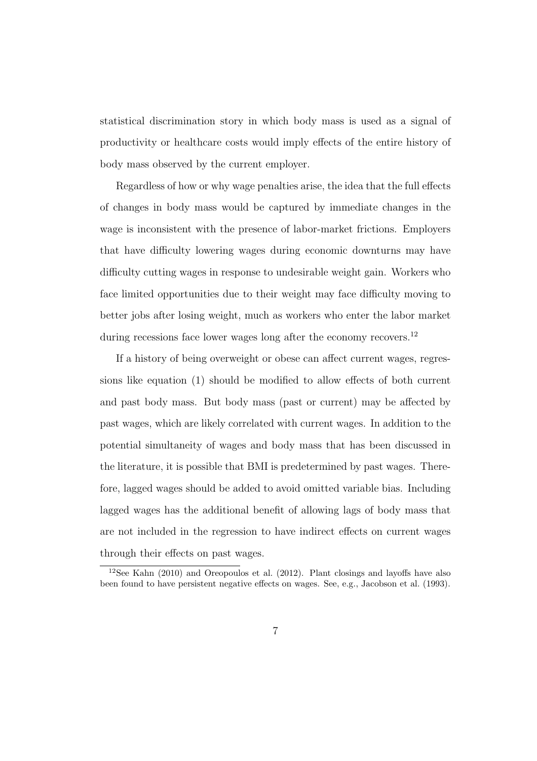statistical discrimination story in which body mass is used as a signal of productivity or healthcare costs would imply effects of the entire history of body mass observed by the current employer.

Regardless of how or why wage penalties arise, the idea that the full effects of changes in body mass would be captured by immediate changes in the wage is inconsistent with the presence of labor-market frictions. Employers that have difficulty lowering wages during economic downturns may have difficulty cutting wages in response to undesirable weight gain. Workers who face limited opportunities due to their weight may face difficulty moving to better jobs after losing weight, much as workers who enter the labor market during recessions face lower wages long after the economy recovers.<sup>12</sup>

If a history of being overweight or obese can affect current wages, regressions like equation (1) should be modified to allow effects of both current and past body mass. But body mass (past or current) may be affected by past wages, which are likely correlated with current wages. In addition to the potential simultaneity of wages and body mass that has been discussed in the literature, it is possible that BMI is predetermined by past wages. Therefore, lagged wages should be added to avoid omitted variable bias. Including lagged wages has the additional benefit of allowing lags of body mass that are not included in the regression to have indirect effects on current wages through their effects on past wages.

<sup>12</sup>See Kahn (2010) and Oreopoulos et al. (2012). Plant closings and layoffs have also been found to have persistent negative effects on wages. See, e.g., Jacobson et al. (1993).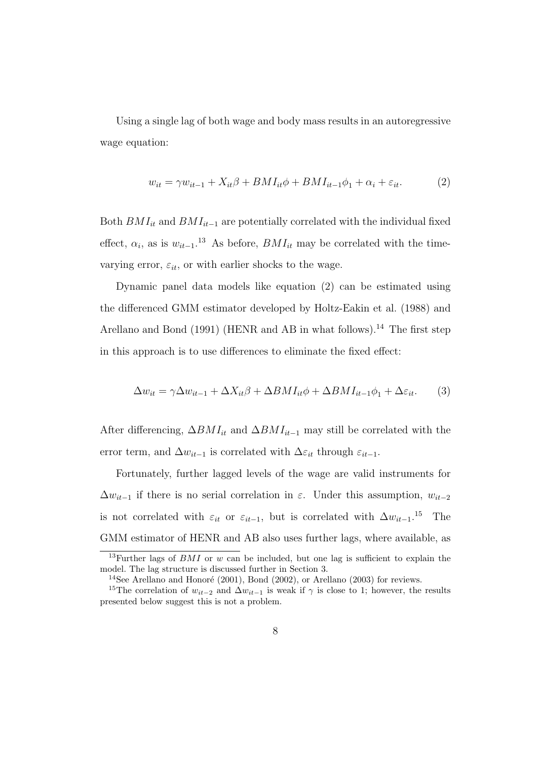Using a single lag of both wage and body mass results in an autoregressive wage equation:

$$
w_{it} = \gamma w_{it-1} + X_{it}\beta + BMI_{it}\phi + BMI_{it-1}\phi_1 + \alpha_i + \varepsilon_{it}.
$$
 (2)

Both  $BMI_{it}$  and  $BMI_{it-1}$  are potentially correlated with the individual fixed effect,  $\alpha_i$ , as is  $w_{it-1}$ <sup>13</sup> As before,  $BMI_{it}$  may be correlated with the timevarying error,  $\varepsilon_{it}$ , or with earlier shocks to the wage.

Dynamic panel data models like equation (2) can be estimated using the differenced GMM estimator developed by Holtz-Eakin et al. (1988) and Arellano and Bond (1991) (HENR and AB in what follows).<sup>14</sup> The first step in this approach is to use differences to eliminate the fixed effect:

$$
\Delta w_{it} = \gamma \Delta w_{it-1} + \Delta X_{it}\beta + \Delta B M I_{it}\phi + \Delta B M I_{it-1}\phi_1 + \Delta \varepsilon_{it}.
$$
 (3)

After differencing,  $\Delta BMI_{it}$  and  $\Delta BMI_{it-1}$  may still be correlated with the error term, and  $\Delta w_{it-1}$  is correlated with  $\Delta \varepsilon_{it}$  through  $\varepsilon_{it-1}$ .

Fortunately, further lagged levels of the wage are valid instruments for  $\Delta w_{it-1}$  if there is no serial correlation in  $\varepsilon$ . Under this assumption,  $w_{it-2}$ is not correlated with  $\varepsilon_{it}$  or  $\varepsilon_{it-1}$ , but is correlated with  $\Delta w_{it-1}$ <sup>15</sup> The GMM estimator of HENR and AB also uses further lags, where available, as

<sup>&</sup>lt;sup>13</sup>Further lags of  $BMI$  or w can be included, but one lag is sufficient to explain the model. The lag structure is discussed further in Section 3.

<sup>&</sup>lt;sup>14</sup>See Arellano and Honoré (2001), Bond (2002), or Arellano (2003) for reviews.

<sup>&</sup>lt;sup>15</sup>The correlation of  $w_{it-2}$  and  $\Delta w_{it-1}$  is weak if  $\gamma$  is close to 1; however, the results presented below suggest this is not a problem.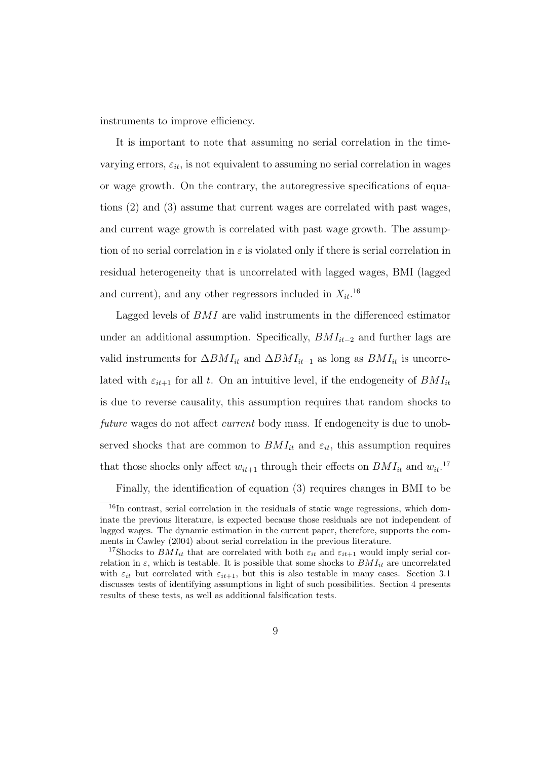instruments to improve efficiency.

It is important to note that assuming no serial correlation in the timevarying errors,  $\varepsilon_{it}$ , is not equivalent to assuming no serial correlation in wages or wage growth. On the contrary, the autoregressive specifications of equations (2) and (3) assume that current wages are correlated with past wages, and current wage growth is correlated with past wage growth. The assumption of no serial correlation in  $\varepsilon$  is violated only if there is serial correlation in residual heterogeneity that is uncorrelated with lagged wages, BMI (lagged and current), and any other regressors included in  $X_{it}$ .<sup>16</sup>

Lagged levels of BMI are valid instruments in the differenced estimator under an additional assumption. Specifically,  $BMI_{it-2}$  and further lags are valid instruments for  $\Delta BMI_{it}$  and  $\Delta BMI_{it-1}$  as long as  $BMI_{it}$  is uncorrelated with  $\varepsilon_{it+1}$  for all t. On an intuitive level, if the endogeneity of  $BMI_{it}$ is due to reverse causality, this assumption requires that random shocks to future wages do not affect *current* body mass. If endogeneity is due to unobserved shocks that are common to  $BMI_{it}$  and  $\varepsilon_{it}$ , this assumption requires that those shocks only affect  $w_{it+1}$  through their effects on  $BMI_{it}$  and  $w_{it}$ .<sup>17</sup>

Finally, the identification of equation (3) requires changes in BMI to be

 $16$ In contrast, serial correlation in the residuals of static wage regressions, which dominate the previous literature, is expected because those residuals are not independent of lagged wages. The dynamic estimation in the current paper, therefore, supports the comments in Cawley (2004) about serial correlation in the previous literature.

<sup>&</sup>lt;sup>17</sup>Shocks to  $BMI_{it}$  that are correlated with both  $\varepsilon_{it}$  and  $\varepsilon_{it+1}$  would imply serial correlation in  $\varepsilon$ , which is testable. It is possible that some shocks to  $BMI_{it}$  are uncorrelated with  $\varepsilon_{it}$  but correlated with  $\varepsilon_{it+1}$ , but this is also testable in many cases. Section 3.1 discusses tests of identifying assumptions in light of such possibilities. Section 4 presents results of these tests, as well as additional falsification tests.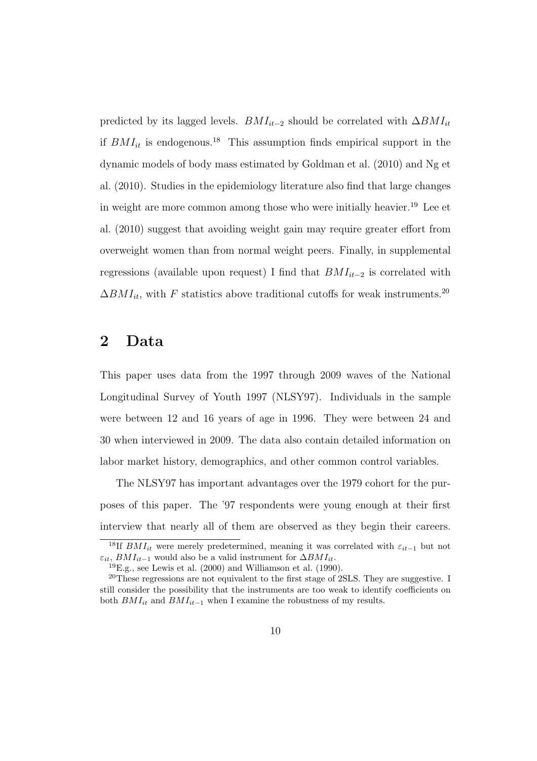predicted by its lagged levels.  $BMI_{it-2}$  should be correlated with  $\Delta BMI_{it}$ if  $BMI_{it}$  is endogenous.<sup>18</sup> This assumption finds empirical support in the dynamic models of body mass estimated by Goldman et al. (2010) and Ng et al. (2010). Studies in the epidemiology literature also find that large changes in weight are more common among those who were initially heavier.<sup>19</sup> Lee et al. (2010) suggest that avoiding weight gain may require greater effort from overweight women than from normal weight peers. Finally, in supplemental regressions (available upon request) I find that  $BMI_{it-2}$  is correlated with  $\Delta BMI_{it}$ , with F statistics above traditional cutoffs for weak instruments.<sup>20</sup>

### 2 Data

This paper uses data from the 1997 through 2009 waves of the National Longitudinal Survey of Youth 1997 (NLSY97). Individuals in the sample were between 12 and 16 years of age in 1996. They were between 24 and 30 when interviewed in 2009. The data also contain detailed information on labor market history, demographics, and other common control variables.

The NLSY97 has important advantages over the 1979 cohort for the purposes of this paper. The '97 respondents were young enough at their first interview that nearly all of them are observed as they begin their careers.

<sup>&</sup>lt;sup>18</sup>If  $BMI_{it}$  were merely predetermined, meaning it was correlated with  $\varepsilon_{it-1}$  but not  $\varepsilon_{it}$ ,  $BMI_{it-1}$  would also be a valid instrument for  $\Delta BMI_{it}$ .

 $^{19}$ E.g., see Lewis et al. (2000) and Williamson et al. (1990).

<sup>&</sup>lt;sup>20</sup>These regressions are not equivalent to the first stage of 2SLS. They are suggestive. I still consider the possibility that the instruments are too weak to identify coefficients on both  $BMI_{it}$  and  $BMI_{it-1}$  when I examine the robustness of my results.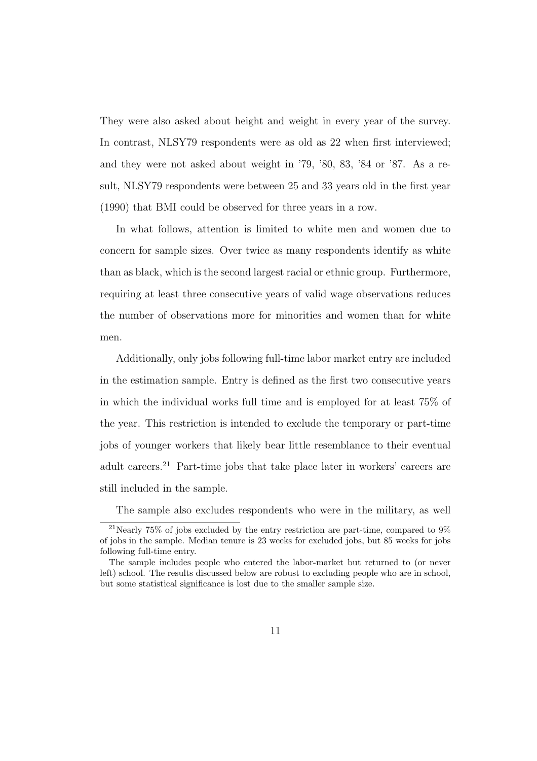They were also asked about height and weight in every year of the survey. In contrast, NLSY79 respondents were as old as 22 when first interviewed; and they were not asked about weight in '79, '80, 83, '84 or '87. As a result, NLSY79 respondents were between 25 and 33 years old in the first year (1990) that BMI could be observed for three years in a row.

In what follows, attention is limited to white men and women due to concern for sample sizes. Over twice as many respondents identify as white than as black, which is the second largest racial or ethnic group. Furthermore, requiring at least three consecutive years of valid wage observations reduces the number of observations more for minorities and women than for white men.

Additionally, only jobs following full-time labor market entry are included in the estimation sample. Entry is defined as the first two consecutive years in which the individual works full time and is employed for at least 75% of the year. This restriction is intended to exclude the temporary or part-time jobs of younger workers that likely bear little resemblance to their eventual adult careers.<sup>21</sup> Part-time jobs that take place later in workers' careers are still included in the sample.

The sample also excludes respondents who were in the military, as well

<sup>&</sup>lt;sup>21</sup>Nearly 75% of jobs excluded by the entry restriction are part-time, compared to  $9\%$ of jobs in the sample. Median tenure is 23 weeks for excluded jobs, but 85 weeks for jobs following full-time entry.

The sample includes people who entered the labor-market but returned to (or never left) school. The results discussed below are robust to excluding people who are in school, but some statistical significance is lost due to the smaller sample size.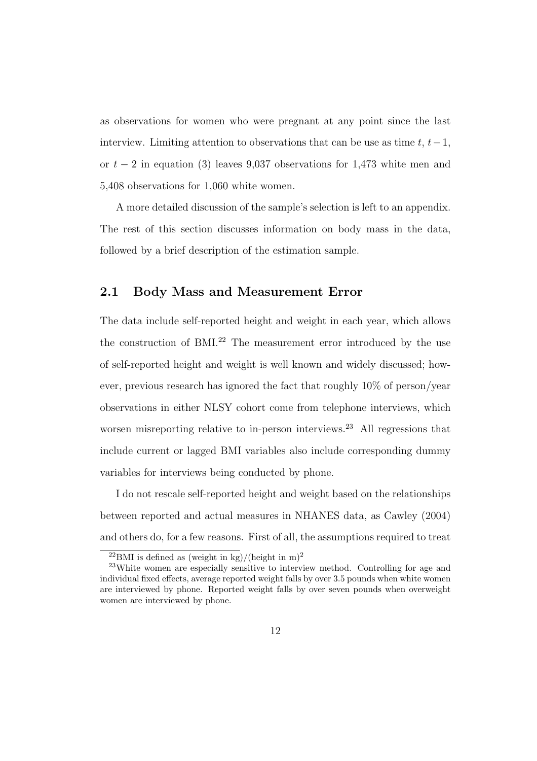as observations for women who were pregnant at any point since the last interview. Limiting attention to observations that can be use as time  $t, t-1$ , or  $t - 2$  in equation (3) leaves 9,037 observations for 1,473 white men and 5,408 observations for 1,060 white women.

A more detailed discussion of the sample's selection is left to an appendix. The rest of this section discusses information on body mass in the data, followed by a brief description of the estimation sample.

#### 2.1 Body Mass and Measurement Error

The data include self-reported height and weight in each year, which allows the construction of BMI. $^{22}$  The measurement error introduced by the use of self-reported height and weight is well known and widely discussed; however, previous research has ignored the fact that roughly 10% of person/year observations in either NLSY cohort come from telephone interviews, which worsen misreporting relative to in-person interviews.<sup>23</sup> All regressions that include current or lagged BMI variables also include corresponding dummy variables for interviews being conducted by phone.

I do not rescale self-reported height and weight based on the relationships between reported and actual measures in NHANES data, as Cawley (2004) and others do, for a few reasons. First of all, the assumptions required to treat

 $^{22}$ BMI is defined as (weight in kg)/(height in m)<sup>2</sup>

<sup>23</sup>White women are especially sensitive to interview method. Controlling for age and individual fixed effects, average reported weight falls by over 3.5 pounds when white women are interviewed by phone. Reported weight falls by over seven pounds when overweight women are interviewed by phone.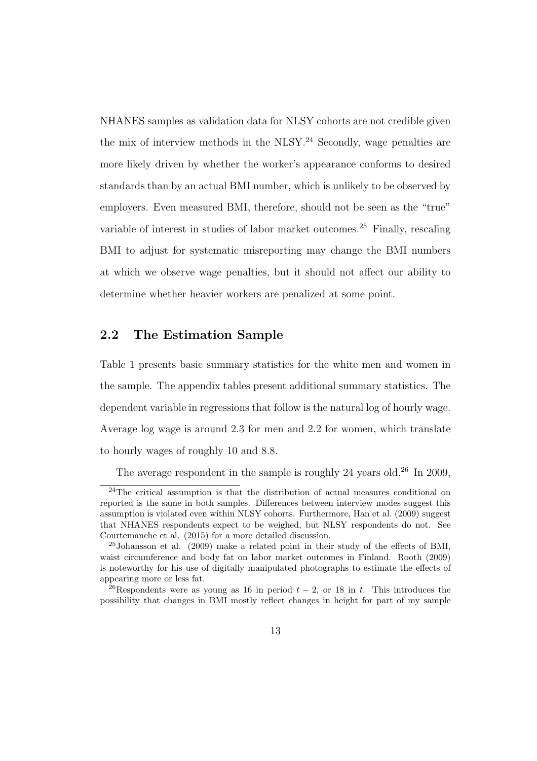NHANES samples as validation data for NLSY cohorts are not credible given the mix of interview methods in the NLSY.<sup>24</sup> Secondly, wage penalties are more likely driven by whether the worker's appearance conforms to desired standards than by an actual BMI number, which is unlikely to be observed by employers. Even measured BMI, therefore, should not be seen as the "true" variable of interest in studies of labor market outcomes.<sup>25</sup> Finally, rescaling BMI to adjust for systematic misreporting may change the BMI numbers at which we observe wage penalties, but it should not affect our ability to determine whether heavier workers are penalized at some point.

#### 2.2 The Estimation Sample

Table 1 presents basic summary statistics for the white men and women in the sample. The appendix tables present additional summary statistics. The dependent variable in regressions that follow is the natural log of hourly wage. Average log wage is around 2.3 for men and 2.2 for women, which translate to hourly wages of roughly 10 and 8.8.

The average respondent in the sample is roughly 24 years old.<sup>26</sup> In 2009,

<sup>24</sup>The critical assumption is that the distribution of actual measures conditional on reported is the same in both samples. Differences between interview modes suggest this assumption is violated even within NLSY cohorts. Furthermore, Han et al. (2009) suggest that NHANES respondents expect to be weighed, but NLSY respondents do not. See Courtemanche et al. (2015) for a more detailed discussion.

<sup>25</sup>Johansson et al. (2009) make a related point in their study of the effects of BMI, waist circumference and body fat on labor market outcomes in Finland. Rooth (2009) is noteworthy for his use of digitally manipulated photographs to estimate the effects of appearing more or less fat.

<sup>&</sup>lt;sup>26</sup>Respondents were as young as 16 in period  $t - 2$ , or 18 in t. This introduces the possibility that changes in BMI mostly reflect changes in height for part of my sample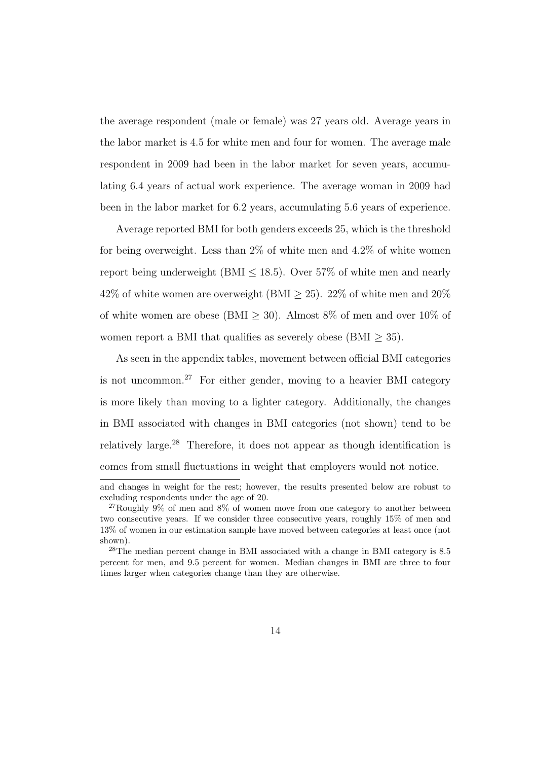the average respondent (male or female) was 27 years old. Average years in the labor market is 4.5 for white men and four for women. The average male respondent in 2009 had been in the labor market for seven years, accumulating 6.4 years of actual work experience. The average woman in 2009 had been in the labor market for 6.2 years, accumulating 5.6 years of experience.

Average reported BMI for both genders exceeds 25, which is the threshold for being overweight. Less than  $2\%$  of white men and  $4.2\%$  of white women report being underweight (BMI  $\leq$  18.5). Over 57% of white men and nearly 42% of white women are overweight (BMI  $\geq$  25). 22% of white men and 20% of white women are obese (BMI  $\geq$  30). Almost 8% of men and over 10% of women report a BMI that qualifies as severely obese (BMI  $\geq$  35).

As seen in the appendix tables, movement between official BMI categories is not uncommon.<sup>27</sup> For either gender, moving to a heavier BMI category is more likely than moving to a lighter category. Additionally, the changes in BMI associated with changes in BMI categories (not shown) tend to be relatively large.<sup>28</sup> Therefore, it does not appear as though identification is comes from small fluctuations in weight that employers would not notice.

and changes in weight for the rest; however, the results presented below are robust to excluding respondents under the age of 20.

 $27$ Roughly 9% of men and 8% of women move from one category to another between two consecutive years. If we consider three consecutive years, roughly 15% of men and 13% of women in our estimation sample have moved between categories at least once (not shown).

<sup>28</sup>The median percent change in BMI associated with a change in BMI category is 8.5 percent for men, and 9.5 percent for women. Median changes in BMI are three to four times larger when categories change than they are otherwise.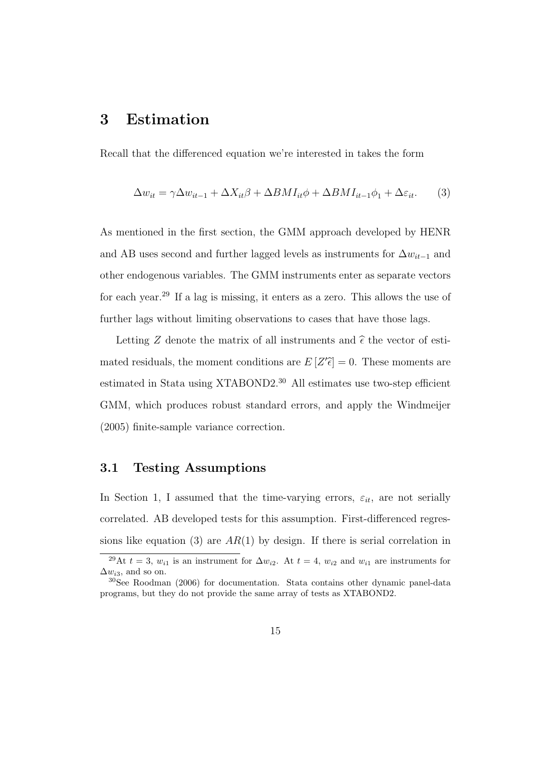## 3 Estimation

Recall that the differenced equation we're interested in takes the form

$$
\Delta w_{it} = \gamma \Delta w_{it-1} + \Delta X_{it}\beta + \Delta B M I_{it}\phi + \Delta B M I_{it-1}\phi_1 + \Delta \varepsilon_{it}.
$$
 (3)

As mentioned in the first section, the GMM approach developed by HENR and AB uses second and further lagged levels as instruments for  $\Delta w_{it-1}$  and other endogenous variables. The GMM instruments enter as separate vectors for each year.<sup>29</sup> If a lag is missing, it enters as a zero. This allows the use of further lags without limiting observations to cases that have those lags.

Letting Z denote the matrix of all instruments and  $\hat{\epsilon}$  the vector of estimated residuals, the moment conditions are  $E[Z'\tilde{\epsilon}] = 0$ . These moments are estimated in Stata using XTABOND2.<sup>30</sup> All estimates use two-step efficient GMM, which produces robust standard errors, and apply the Windmeijer (2005) finite-sample variance correction.

#### 3.1 Testing Assumptions

In Section 1, I assumed that the time-varying errors,  $\varepsilon_{it}$ , are not serially correlated. AB developed tests for this assumption. First-differenced regressions like equation (3) are  $AR(1)$  by design. If there is serial correlation in

<sup>&</sup>lt;sup>29</sup>At  $t = 3$ ,  $w_{i1}$  is an instrument for  $\Delta w_{i2}$ . At  $t = 4$ ,  $w_{i2}$  and  $w_{i1}$  are instruments for  $\Delta w_{i3}$ , and so on.

<sup>30</sup>See Roodman (2006) for documentation. Stata contains other dynamic panel-data programs, but they do not provide the same array of tests as XTABOND2.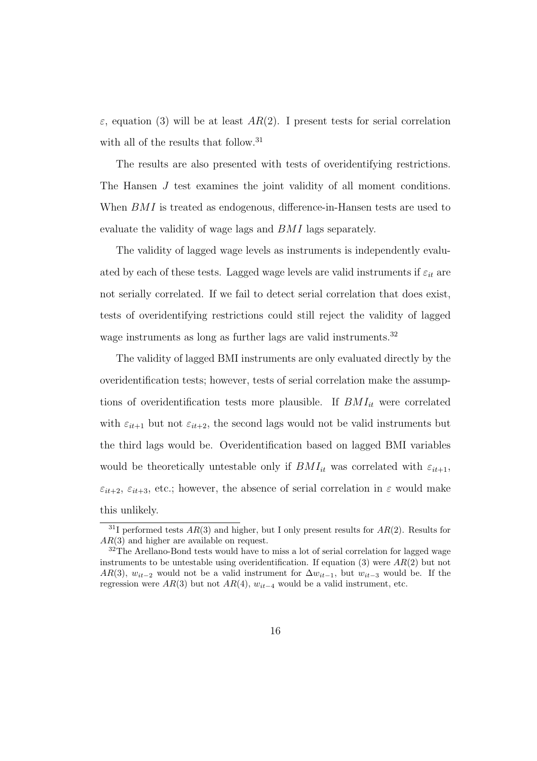$\varepsilon$ , equation (3) will be at least AR(2). I present tests for serial correlation with all of the results that follow.<sup>31</sup>

The results are also presented with tests of overidentifying restrictions. The Hansen J test examines the joint validity of all moment conditions. When BMI is treated as endogenous, difference-in-Hansen tests are used to evaluate the validity of wage lags and BMI lags separately.

The validity of lagged wage levels as instruments is independently evaluated by each of these tests. Lagged wage levels are valid instruments if  $\varepsilon_{it}$  are not serially correlated. If we fail to detect serial correlation that does exist, tests of overidentifying restrictions could still reject the validity of lagged wage instruments as long as further lags are valid instruments.<sup>32</sup>

The validity of lagged BMI instruments are only evaluated directly by the overidentification tests; however, tests of serial correlation make the assumptions of overidentification tests more plausible. If  $BMI_{it}$  were correlated with  $\varepsilon_{it+1}$  but not  $\varepsilon_{it+2}$ , the second lags would not be valid instruments but the third lags would be. Overidentification based on lagged BMI variables would be theoretically untestable only if  $BMI_{it}$  was correlated with  $\varepsilon_{it+1}$ ,  $\varepsilon_{it+2}, \varepsilon_{it+3}$ , etc.; however, the absence of serial correlation in  $\varepsilon$  would make this unlikely.

<sup>&</sup>lt;sup>31</sup>I performed tests  $AR(3)$  and higher, but I only present results for  $AR(2)$ . Results for AR(3) and higher are available on request.

<sup>&</sup>lt;sup>32</sup>The Arellano-Bond tests would have to miss a lot of serial correlation for lagged wage instruments to be untestable using overidentification. If equation (3) were  $AR(2)$  but not AR(3),  $w_{it-2}$  would not be a valid instrument for  $\Delta w_{it-1}$ , but  $w_{it-3}$  would be. If the regression were  $AR(3)$  but not  $AR(4)$ ,  $w_{it-4}$  would be a valid instrument, etc.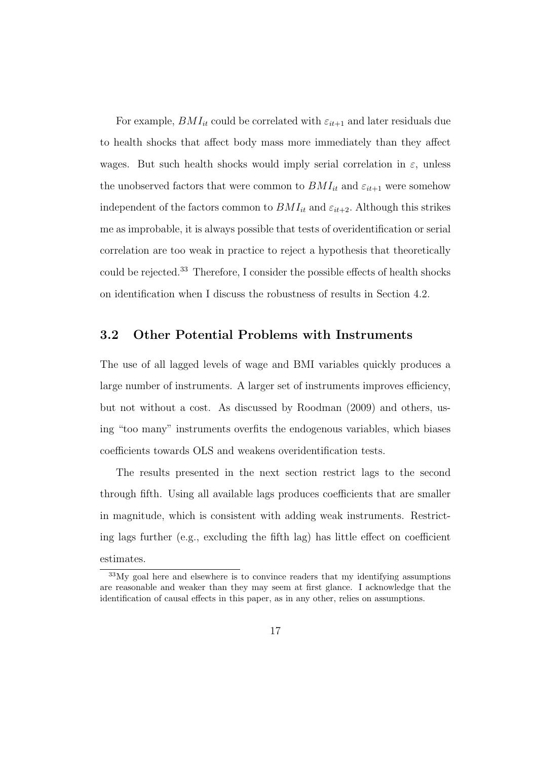For example,  $BMI_{it}$  could be correlated with  $\varepsilon_{it+1}$  and later residuals due to health shocks that affect body mass more immediately than they affect wages. But such health shocks would imply serial correlation in  $\varepsilon$ , unless the unobserved factors that were common to  $BMI_{it}$  and  $\varepsilon_{it+1}$  were somehow independent of the factors common to  $BMI_{it}$  and  $\varepsilon_{it+2}$ . Although this strikes me as improbable, it is always possible that tests of overidentification or serial correlation are too weak in practice to reject a hypothesis that theoretically could be rejected.<sup>33</sup> Therefore, I consider the possible effects of health shocks on identification when I discuss the robustness of results in Section 4.2.

#### 3.2 Other Potential Problems with Instruments

The use of all lagged levels of wage and BMI variables quickly produces a large number of instruments. A larger set of instruments improves efficiency, but not without a cost. As discussed by Roodman (2009) and others, using "too many" instruments overfits the endogenous variables, which biases coefficients towards OLS and weakens overidentification tests.

The results presented in the next section restrict lags to the second through fifth. Using all available lags produces coefficients that are smaller in magnitude, which is consistent with adding weak instruments. Restricting lags further (e.g., excluding the fifth lag) has little effect on coefficient estimates.

<sup>33</sup>My goal here and elsewhere is to convince readers that my identifying assumptions are reasonable and weaker than they may seem at first glance. I acknowledge that the identification of causal effects in this paper, as in any other, relies on assumptions.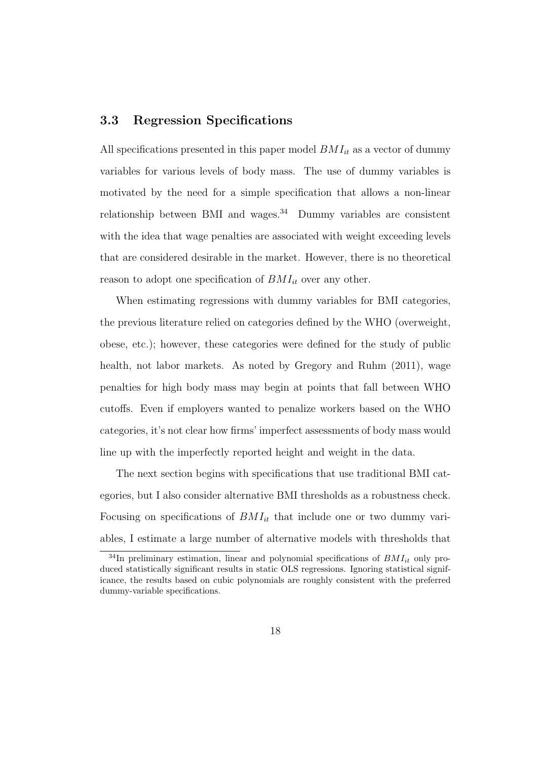#### 3.3 Regression Specifications

All specifications presented in this paper model  $BMI_{it}$  as a vector of dummy variables for various levels of body mass. The use of dummy variables is motivated by the need for a simple specification that allows a non-linear relationship between BMI and wages.<sup>34</sup> Dummy variables are consistent with the idea that wage penalties are associated with weight exceeding levels that are considered desirable in the market. However, there is no theoretical reason to adopt one specification of  $BMI_{it}$  over any other.

When estimating regressions with dummy variables for BMI categories, the previous literature relied on categories defined by the WHO (overweight, obese, etc.); however, these categories were defined for the study of public health, not labor markets. As noted by Gregory and Ruhm  $(2011)$ , wage penalties for high body mass may begin at points that fall between WHO cutoffs. Even if employers wanted to penalize workers based on the WHO categories, it's not clear how firms' imperfect assessments of body mass would line up with the imperfectly reported height and weight in the data.

The next section begins with specifications that use traditional BMI categories, but I also consider alternative BMI thresholds as a robustness check. Focusing on specifications of  $BMI_{it}$  that include one or two dummy variables, I estimate a large number of alternative models with thresholds that

 $34$ In preliminary estimation, linear and polynomial specifications of  $BMI_{it}$  only produced statistically significant results in static OLS regressions. Ignoring statistical significance, the results based on cubic polynomials are roughly consistent with the preferred dummy-variable specifications.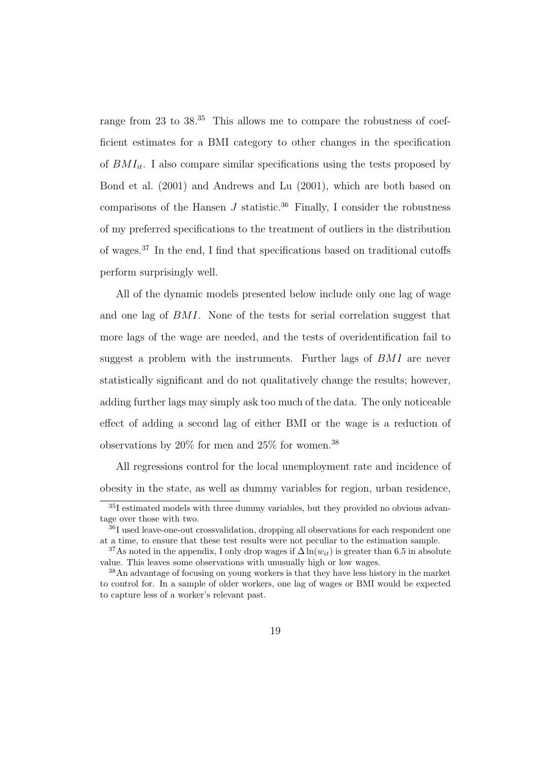range from 23 to 38.<sup>35</sup> This allows me to compare the robustness of coefficient estimates for a BMI category to other changes in the specification of  $BMI_{it}$ . I also compare similar specifications using the tests proposed by Bond et al. (2001) and Andrews and Lu (2001), which are both based on comparisons of the Hansen  $J$  statistic.<sup>36</sup> Finally, I consider the robustness of my preferred specifications to the treatment of outliers in the distribution of wages.<sup>37</sup> In the end, I find that specifications based on traditional cutoffs perform surprisingly well.

All of the dynamic models presented below include only one lag of wage and one lag of BMI. None of the tests for serial correlation suggest that more lags of the wage are needed, and the tests of overidentification fail to suggest a problem with the instruments. Further lags of BMI are never statistically significant and do not qualitatively change the results; however, adding further lags may simply ask too much of the data. The only noticeable effect of adding a second lag of either BMI or the wage is a reduction of observations by  $20\%$  for men and  $25\%$  for women.<sup>38</sup>

All regressions control for the local unemployment rate and incidence of obesity in the state, as well as dummy variables for region, urban residence,

<sup>35</sup>I estimated models with three dummy variables, but they provided no obvious advantage over those with two.

 $\frac{36}{36}I$  used leave-one-out crossvalidation, dropping all observations for each respondent one at a time, to ensure that these test results were not peculiar to the estimation sample.

<sup>&</sup>lt;sup>37</sup>As noted in the appendix, I only drop wages if  $\Delta \ln(w_{it})$  is greater than 6.5 in absolute value. This leaves some observations with unusually high or low wages.

<sup>38</sup>An advantage of focusing on young workers is that they have less history in the market to control for. In a sample of older workers, one lag of wages or BMI would be expected to capture less of a worker's relevant past.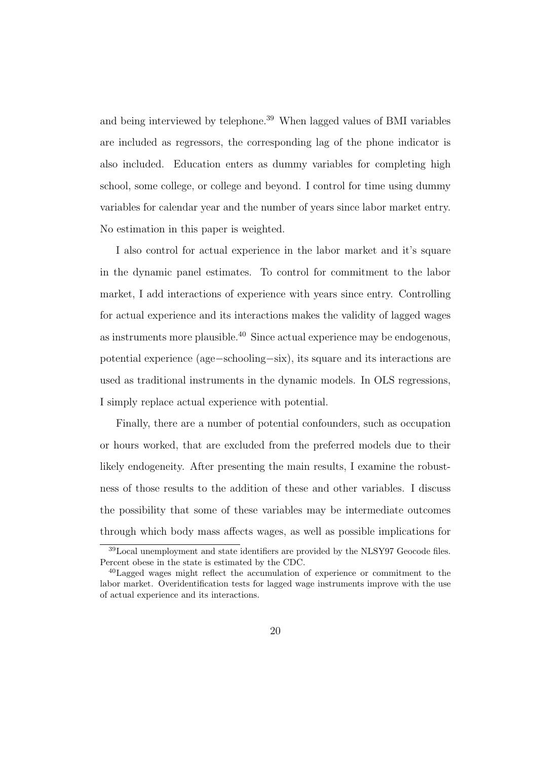and being interviewed by telephone.<sup>39</sup> When lagged values of BMI variables are included as regressors, the corresponding lag of the phone indicator is also included. Education enters as dummy variables for completing high school, some college, or college and beyond. I control for time using dummy variables for calendar year and the number of years since labor market entry. No estimation in this paper is weighted.

I also control for actual experience in the labor market and it's square in the dynamic panel estimates. To control for commitment to the labor market, I add interactions of experience with years since entry. Controlling for actual experience and its interactions makes the validity of lagged wages as instruments more plausible.<sup>40</sup> Since actual experience may be endogenous, potential experience (age−schooling−six), its square and its interactions are used as traditional instruments in the dynamic models. In OLS regressions, I simply replace actual experience with potential.

Finally, there are a number of potential confounders, such as occupation or hours worked, that are excluded from the preferred models due to their likely endogeneity. After presenting the main results, I examine the robustness of those results to the addition of these and other variables. I discuss the possibility that some of these variables may be intermediate outcomes through which body mass affects wages, as well as possible implications for

<sup>39</sup>Local unemployment and state identifiers are provided by the NLSY97 Geocode files. Percent obese in the state is estimated by the CDC.

<sup>40</sup>Lagged wages might reflect the accumulation of experience or commitment to the labor market. Overidentification tests for lagged wage instruments improve with the use of actual experience and its interactions.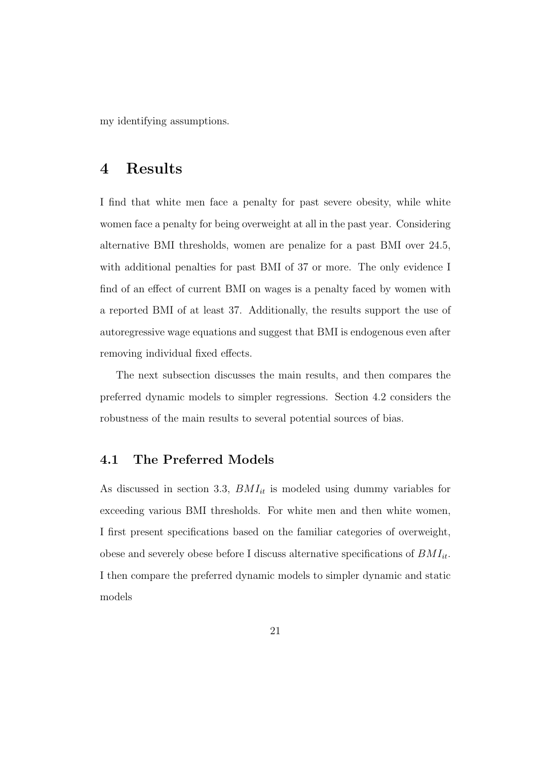my identifying assumptions.

### 4 Results

I find that white men face a penalty for past severe obesity, while white women face a penalty for being overweight at all in the past year. Considering alternative BMI thresholds, women are penalize for a past BMI over 24.5, with additional penalties for past BMI of 37 or more. The only evidence I find of an effect of current BMI on wages is a penalty faced by women with a reported BMI of at least 37. Additionally, the results support the use of autoregressive wage equations and suggest that BMI is endogenous even after removing individual fixed effects.

The next subsection discusses the main results, and then compares the preferred dynamic models to simpler regressions. Section 4.2 considers the robustness of the main results to several potential sources of bias.

#### 4.1 The Preferred Models

As discussed in section 3.3,  $BMI_{it}$  is modeled using dummy variables for exceeding various BMI thresholds. For white men and then white women, I first present specifications based on the familiar categories of overweight, obese and severely obese before I discuss alternative specifications of  $BMI_{it}$ . I then compare the preferred dynamic models to simpler dynamic and static models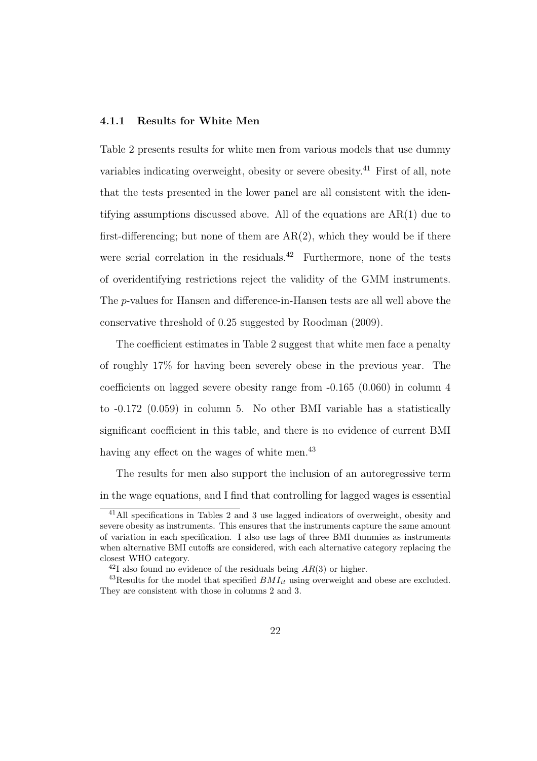#### 4.1.1 Results for White Men

Table 2 presents results for white men from various models that use dummy variables indicating overweight, obesity or severe obesity.<sup>41</sup> First of all, note that the tests presented in the lower panel are all consistent with the identifying assumptions discussed above. All of the equations are AR(1) due to first-differencing; but none of them are  $AR(2)$ , which they would be if there were serial correlation in the residuals.<sup>42</sup> Furthermore, none of the tests of overidentifying restrictions reject the validity of the GMM instruments. The p-values for Hansen and difference-in-Hansen tests are all well above the conservative threshold of 0.25 suggested by Roodman (2009).

The coefficient estimates in Table 2 suggest that white men face a penalty of roughly 17% for having been severely obese in the previous year. The coefficients on lagged severe obesity range from -0.165 (0.060) in column 4 to -0.172 (0.059) in column 5. No other BMI variable has a statistically significant coefficient in this table, and there is no evidence of current BMI having any effect on the wages of white men.<sup>43</sup>

The results for men also support the inclusion of an autoregressive term in the wage equations, and I find that controlling for lagged wages is essential

<sup>41</sup>All specifications in Tables 2 and 3 use lagged indicators of overweight, obesity and severe obesity as instruments. This ensures that the instruments capture the same amount of variation in each specification. I also use lags of three BMI dummies as instruments when alternative BMI cutoffs are considered, with each alternative category replacing the closest WHO category.

<sup>&</sup>lt;sup>42</sup>I also found no evidence of the residuals being  $AR(3)$  or higher.

<sup>&</sup>lt;sup>43</sup>Results for the model that specified  $BMI_{it}$  using overweight and obese are excluded. They are consistent with those in columns 2 and 3.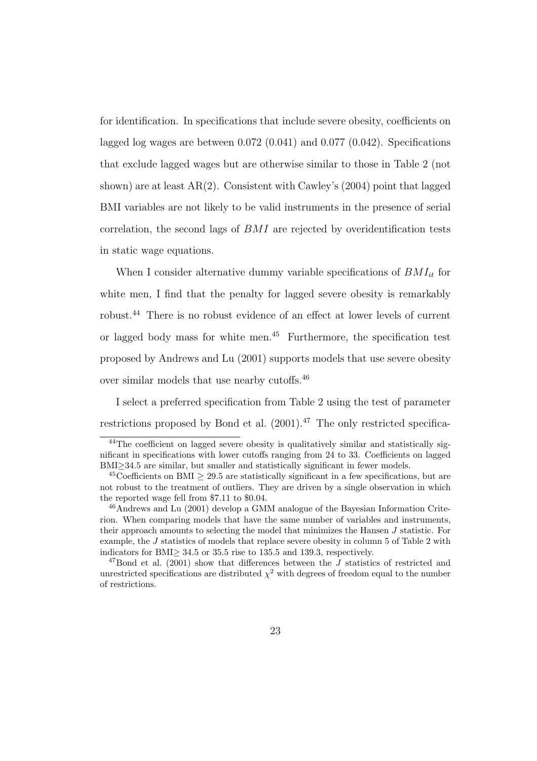for identification. In specifications that include severe obesity, coefficients on lagged log wages are between 0.072 (0.041) and 0.077 (0.042). Specifications that exclude lagged wages but are otherwise similar to those in Table 2 (not shown) are at least  $AR(2)$ . Consistent with Cawley's (2004) point that lagged BMI variables are not likely to be valid instruments in the presence of serial correlation, the second lags of BMI are rejected by overidentification tests in static wage equations.

When I consider alternative dummy variable specifications of  $BMI_{it}$  for white men, I find that the penalty for lagged severe obesity is remarkably robust.<sup>44</sup> There is no robust evidence of an effect at lower levels of current or lagged body mass for white men.<sup>45</sup> Furthermore, the specification test proposed by Andrews and Lu (2001) supports models that use severe obesity over similar models that use nearby cutoffs.<sup>46</sup>

I select a preferred specification from Table 2 using the test of parameter restrictions proposed by Bond et al.  $(2001)^{47}$  The only restricted specifica-

<sup>44</sup>The coefficient on lagged severe obesity is qualitatively similar and statistically significant in specifications with lower cutoffs ranging from 24 to 33. Coefficients on lagged BMI≥34.5 are similar, but smaller and statistically significant in fewer models.

<sup>&</sup>lt;sup>45</sup>Coefficients on BMI  $\geq$  29.5 are statistically significant in a few specifications, but are not robust to the treatment of outliers. They are driven by a single observation in which the reported wage fell from \$7.11 to \$0.04.

<sup>46</sup>Andrews and Lu (2001) develop a GMM analogue of the Bayesian Information Criterion. When comparing models that have the same number of variables and instruments, their approach amounts to selecting the model that minimizes the Hansen J statistic. For example, the J statistics of models that replace severe obesity in column 5 of Table 2 with indicators for BMI≥ 34.5 or 35.5 rise to 135.5 and 139.3, respectively.

<sup>&</sup>lt;sup>47</sup>Bond et al. (2001) show that differences between the J statistics of restricted and unrestricted specifications are distributed  $\chi^2$  with degrees of freedom equal to the number of restrictions.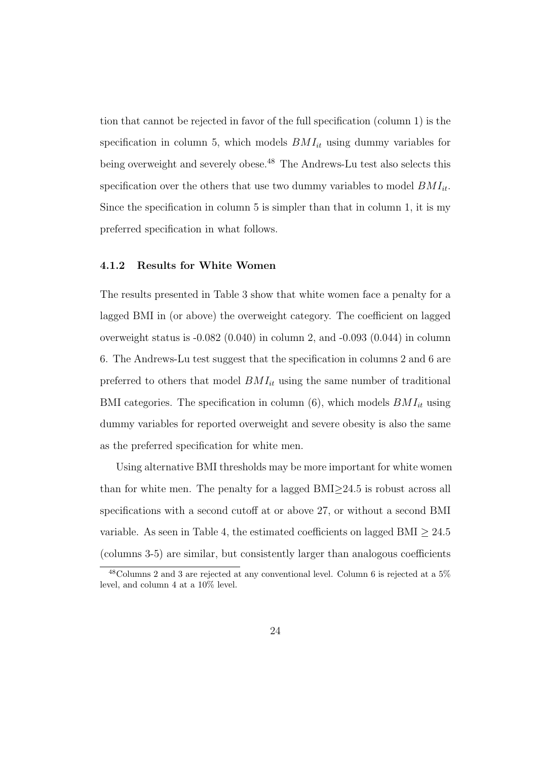tion that cannot be rejected in favor of the full specification (column 1) is the specification in column 5, which models  $BMI_{it}$  using dummy variables for being overweight and severely obese.<sup>48</sup> The Andrews-Lu test also selects this specification over the others that use two dummy variables to model  $BMI_{it}$ . Since the specification in column 5 is simpler than that in column 1, it is my preferred specification in what follows.

#### 4.1.2 Results for White Women

The results presented in Table 3 show that white women face a penalty for a lagged BMI in (or above) the overweight category. The coefficient on lagged overweight status is -0.082 (0.040) in column 2, and -0.093 (0.044) in column 6. The Andrews-Lu test suggest that the specification in columns 2 and 6 are preferred to others that model  $BMI_{it}$  using the same number of traditional BMI categories. The specification in column  $(6)$ , which models  $BMI_{it}$  using dummy variables for reported overweight and severe obesity is also the same as the preferred specification for white men.

Using alternative BMI thresholds may be more important for white women than for white men. The penalty for a lagged  $BMI\geq 24.5$  is robust across all specifications with a second cutoff at or above 27, or without a second BMI variable. As seen in Table 4, the estimated coefficients on lagged BMI  $> 24.5$ (columns 3-5) are similar, but consistently larger than analogous coefficients

<sup>48</sup>Columns 2 and 3 are rejected at any conventional level. Column 6 is rejected at a 5% level, and column 4 at a 10% level.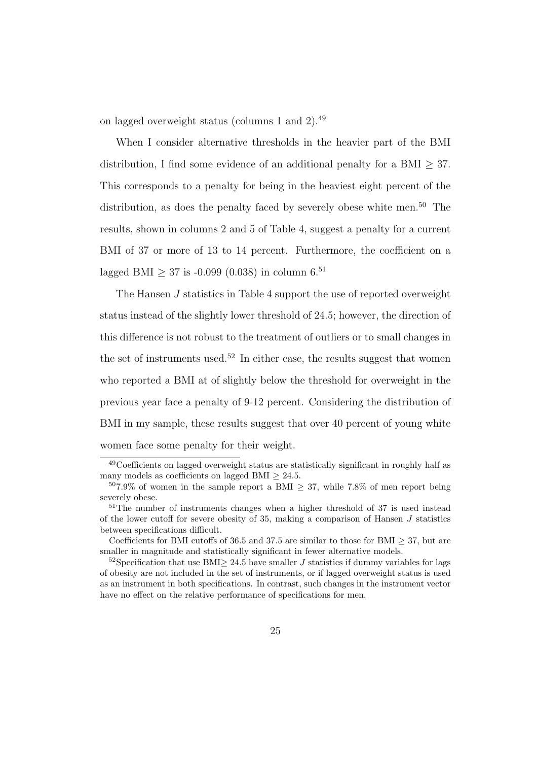on lagged overweight status (columns 1 and 2).<sup>49</sup>

When I consider alternative thresholds in the heavier part of the BMI distribution, I find some evidence of an additional penalty for a BMI  $>$  37. This corresponds to a penalty for being in the heaviest eight percent of the distribution, as does the penalty faced by severely obese white men.<sup>50</sup> The results, shown in columns 2 and 5 of Table 4, suggest a penalty for a current BMI of 37 or more of 13 to 14 percent. Furthermore, the coefficient on a lagged BMI  $> 37$  is -0.099 (0.038) in column 6.<sup>51</sup>

The Hansen J statistics in Table 4 support the use of reported overweight status instead of the slightly lower threshold of 24.5; however, the direction of this difference is not robust to the treatment of outliers or to small changes in the set of instruments used.<sup>52</sup> In either case, the results suggest that women who reported a BMI at of slightly below the threshold for overweight in the previous year face a penalty of 9-12 percent. Considering the distribution of BMI in my sample, these results suggest that over 40 percent of young white women face some penalty for their weight.

<sup>49</sup>Coefficients on lagged overweight status are statistically significant in roughly half as many models as coefficients on lagged BMI  $\geq 24.5$ .

 $507.9\%$  of women in the sample report a BMI  $\geq 37$ , while 7.8% of men report being severely obese.

<sup>51</sup>The number of instruments changes when a higher threshold of 37 is used instead of the lower cutoff for severe obesity of 35, making a comparison of Hansen  $J$  statistics between specifications difficult.

Coefficients for BMI cutoffs of 36.5 and 37.5 are similar to those for BMI  $>$  37, but are smaller in magnitude and statistically significant in fewer alternative models.

 $52$ Specification that use BMI $\geq 24.5$  have smaller J statistics if dummy variables for lags of obesity are not included in the set of instruments, or if lagged overweight status is used as an instrument in both specifications. In contrast, such changes in the instrument vector have no effect on the relative performance of specifications for men.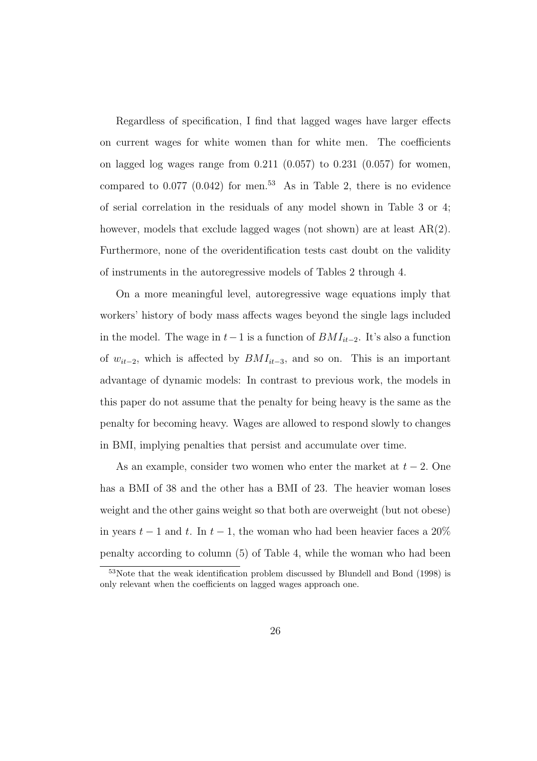Regardless of specification, I find that lagged wages have larger effects on current wages for white women than for white men. The coefficients on lagged log wages range from  $0.211$   $(0.057)$  to  $0.231$   $(0.057)$  for women, compared to  $0.077$   $(0.042)$  for men.<sup>53</sup> As in Table 2, there is no evidence of serial correlation in the residuals of any model shown in Table 3 or 4; however, models that exclude lagged wages (not shown) are at least  $AR(2)$ . Furthermore, none of the overidentification tests cast doubt on the validity of instruments in the autoregressive models of Tables 2 through 4.

On a more meaningful level, autoregressive wage equations imply that workers' history of body mass affects wages beyond the single lags included in the model. The wage in  $t-1$  is a function of  $BMI_{it-2}$ . It's also a function of  $w_{it-2}$ , which is affected by  $BMI_{it-3}$ , and so on. This is an important advantage of dynamic models: In contrast to previous work, the models in this paper do not assume that the penalty for being heavy is the same as the penalty for becoming heavy. Wages are allowed to respond slowly to changes in BMI, implying penalties that persist and accumulate over time.

As an example, consider two women who enter the market at  $t - 2$ . One has a BMI of 38 and the other has a BMI of 23. The heavier woman loses weight and the other gains weight so that both are overweight (but not obese) in years  $t-1$  and t. In  $t-1$ , the woman who had been heavier faces a 20% penalty according to column (5) of Table 4, while the woman who had been

<sup>&</sup>lt;sup>53</sup>Note that the weak identification problem discussed by Blundell and Bond (1998) is only relevant when the coefficients on lagged wages approach one.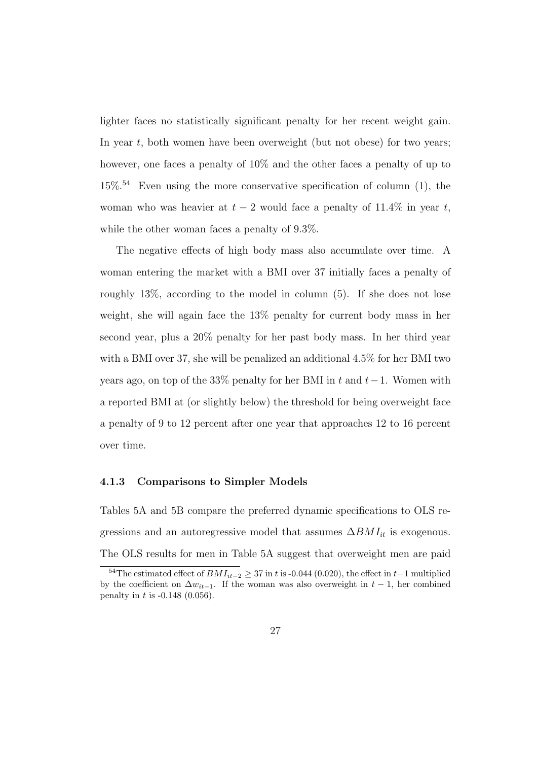lighter faces no statistically significant penalty for her recent weight gain. In year  $t$ , both women have been overweight (but not obese) for two years; however, one faces a penalty of  $10\%$  and the other faces a penalty of up to  $15\%$ <sup>54</sup> Even using the more conservative specification of column (1), the woman who was heavier at  $t - 2$  would face a penalty of 11.4% in year t, while the other woman faces a penalty of 9.3%.

The negative effects of high body mass also accumulate over time. A woman entering the market with a BMI over 37 initially faces a penalty of roughly 13%, according to the model in column (5). If she does not lose weight, she will again face the 13% penalty for current body mass in her second year, plus a 20% penalty for her past body mass. In her third year with a BMI over 37, she will be penalized an additional 4.5% for her BMI two years ago, on top of the 33% penalty for her BMI in t and  $t-1$ . Women with a reported BMI at (or slightly below) the threshold for being overweight face a penalty of 9 to 12 percent after one year that approaches 12 to 16 percent over time.

#### 4.1.3 Comparisons to Simpler Models

Tables 5A and 5B compare the preferred dynamic specifications to OLS regressions and an autoregressive model that assumes  $\Delta BMI_{it}$  is exogenous. The OLS results for men in Table 5A suggest that overweight men are paid

<sup>&</sup>lt;sup>54</sup>The estimated effect of  $BMI_{it-2} \geq 37$  in t is -0.044 (0.020), the effect in t−1 multiplied by the coefficient on  $\Delta w_{it-1}$ . If the woman was also overweight in  $t-1$ , her combined penalty in t is  $-0.148$  (0.056).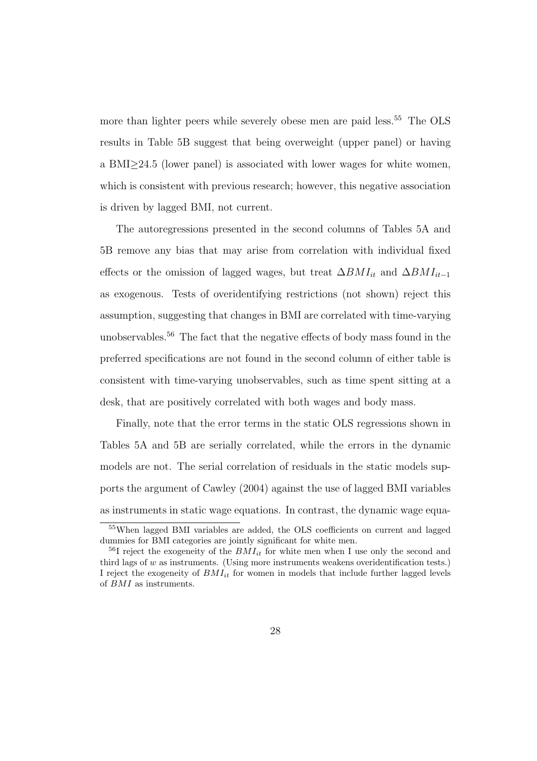more than lighter peers while severely obese men are paid less.<sup>55</sup> The OLS results in Table 5B suggest that being overweight (upper panel) or having a BMI≥24.5 (lower panel) is associated with lower wages for white women, which is consistent with previous research; however, this negative association is driven by lagged BMI, not current.

The autoregressions presented in the second columns of Tables 5A and 5B remove any bias that may arise from correlation with individual fixed effects or the omission of lagged wages, but treat  $\Delta BMI_{it}$  and  $\Delta BMI_{it-1}$ as exogenous. Tests of overidentifying restrictions (not shown) reject this assumption, suggesting that changes in BMI are correlated with time-varying unobservables.<sup>56</sup> The fact that the negative effects of body mass found in the preferred specifications are not found in the second column of either table is consistent with time-varying unobservables, such as time spent sitting at a desk, that are positively correlated with both wages and body mass.

Finally, note that the error terms in the static OLS regressions shown in Tables 5A and 5B are serially correlated, while the errors in the dynamic models are not. The serial correlation of residuals in the static models supports the argument of Cawley (2004) against the use of lagged BMI variables as instruments in static wage equations. In contrast, the dynamic wage equa-

<sup>55</sup>When lagged BMI variables are added, the OLS coefficients on current and lagged dummies for BMI categories are jointly significant for white men.

<sup>&</sup>lt;sup>56</sup>I reject the exogeneity of the  $BMI_{it}$  for white men when I use only the second and third lags of w as instruments. (Using more instruments weakens overidentification tests.) I reject the exogeneity of  $BMI_{it}$  for women in models that include further lagged levels of BMI as instruments.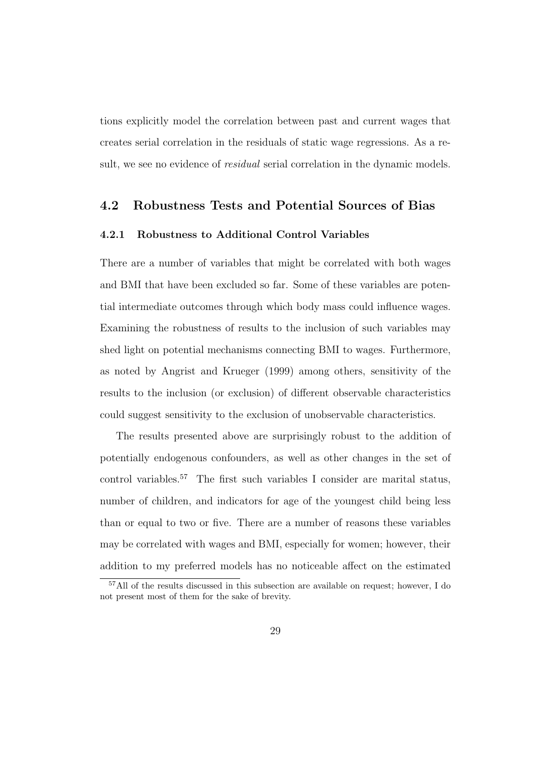tions explicitly model the correlation between past and current wages that creates serial correlation in the residuals of static wage regressions. As a result, we see no evidence of *residual* serial correlation in the dynamic models.

#### 4.2 Robustness Tests and Potential Sources of Bias

#### 4.2.1 Robustness to Additional Control Variables

There are a number of variables that might be correlated with both wages and BMI that have been excluded so far. Some of these variables are potential intermediate outcomes through which body mass could influence wages. Examining the robustness of results to the inclusion of such variables may shed light on potential mechanisms connecting BMI to wages. Furthermore, as noted by Angrist and Krueger (1999) among others, sensitivity of the results to the inclusion (or exclusion) of different observable characteristics could suggest sensitivity to the exclusion of unobservable characteristics.

The results presented above are surprisingly robust to the addition of potentially endogenous confounders, as well as other changes in the set of control variables.<sup>57</sup> The first such variables I consider are marital status, number of children, and indicators for age of the youngest child being less than or equal to two or five. There are a number of reasons these variables may be correlated with wages and BMI, especially for women; however, their addition to my preferred models has no noticeable affect on the estimated

<sup>57</sup>All of the results discussed in this subsection are available on request; however, I do not present most of them for the sake of brevity.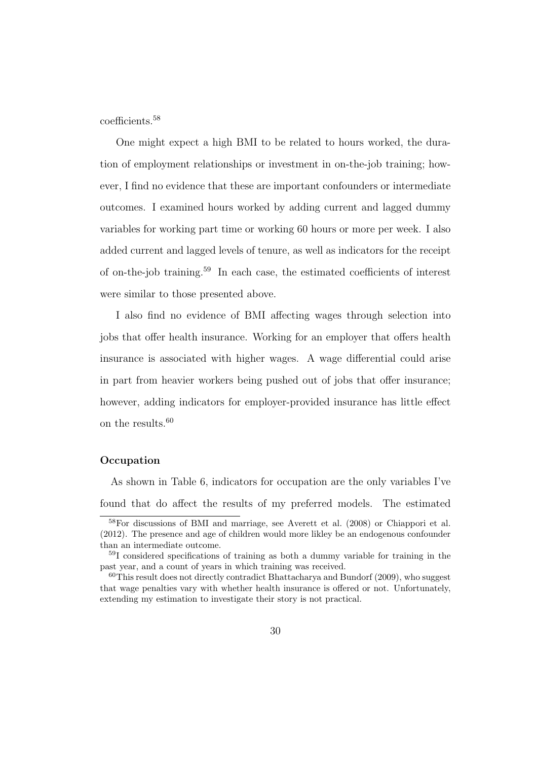coefficients.<sup>58</sup>

One might expect a high BMI to be related to hours worked, the duration of employment relationships or investment in on-the-job training; however, I find no evidence that these are important confounders or intermediate outcomes. I examined hours worked by adding current and lagged dummy variables for working part time or working 60 hours or more per week. I also added current and lagged levels of tenure, as well as indicators for the receipt of on-the-job training.<sup>59</sup> In each case, the estimated coefficients of interest were similar to those presented above.

I also find no evidence of BMI affecting wages through selection into jobs that offer health insurance. Working for an employer that offers health insurance is associated with higher wages. A wage differential could arise in part from heavier workers being pushed out of jobs that offer insurance; however, adding indicators for employer-provided insurance has little effect on the results.<sup>60</sup>

#### **Occupation**

As shown in Table 6, indicators for occupation are the only variables I've found that do affect the results of my preferred models. The estimated

<sup>58</sup>For discussions of BMI and marriage, see Averett et al. (2008) or Chiappori et al. (2012). The presence and age of children would more likley be an endogenous confounder than an intermediate outcome.

<sup>59</sup>I considered specifications of training as both a dummy variable for training in the past year, and a count of years in which training was received.

 $60$ This result does not directly contradict Bhattacharya and Bundorf (2009), who suggest that wage penalties vary with whether health insurance is offered or not. Unfortunately, extending my estimation to investigate their story is not practical.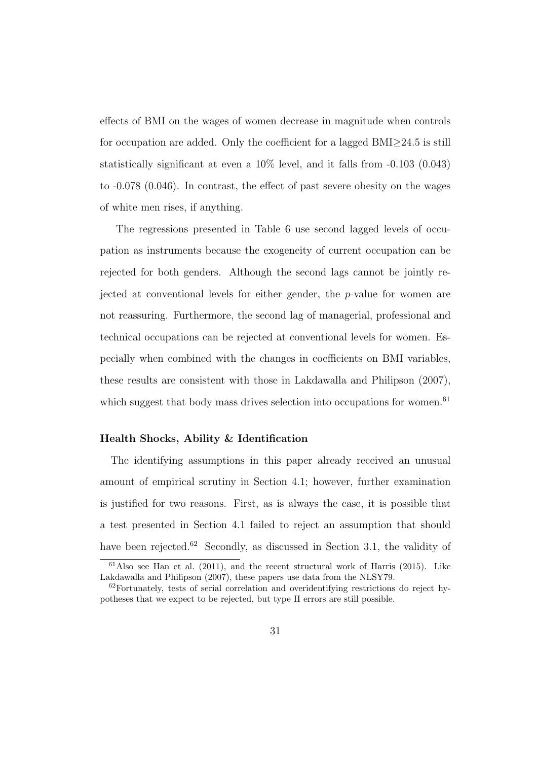effects of BMI on the wages of women decrease in magnitude when controls for occupation are added. Only the coefficient for a lagged BMI≥24.5 is still statistically significant at even a 10% level, and it falls from -0.103 (0.043) to -0.078 (0.046). In contrast, the effect of past severe obesity on the wages of white men rises, if anything.

The regressions presented in Table 6 use second lagged levels of occupation as instruments because the exogeneity of current occupation can be rejected for both genders. Although the second lags cannot be jointly rejected at conventional levels for either gender, the p-value for women are not reassuring. Furthermore, the second lag of managerial, professional and technical occupations can be rejected at conventional levels for women. Especially when combined with the changes in coefficients on BMI variables, these results are consistent with those in Lakdawalla and Philipson (2007), which suggest that body mass drives selection into occupations for women.<sup>61</sup>

#### Health Shocks, Ability & Identification

The identifying assumptions in this paper already received an unusual amount of empirical scrutiny in Section 4.1; however, further examination is justified for two reasons. First, as is always the case, it is possible that a test presented in Section 4.1 failed to reject an assumption that should have been rejected.<sup>62</sup> Secondly, as discussed in Section 3.1, the validity of

 $61$ Also see Han et al. (2011), and the recent structural work of Harris (2015). Like Lakdawalla and Philipson (2007), these papers use data from the NLSY79.

 $62$  Fortunately, tests of serial correlation and overidentifying restrictions do reject hypotheses that we expect to be rejected, but type II errors are still possible.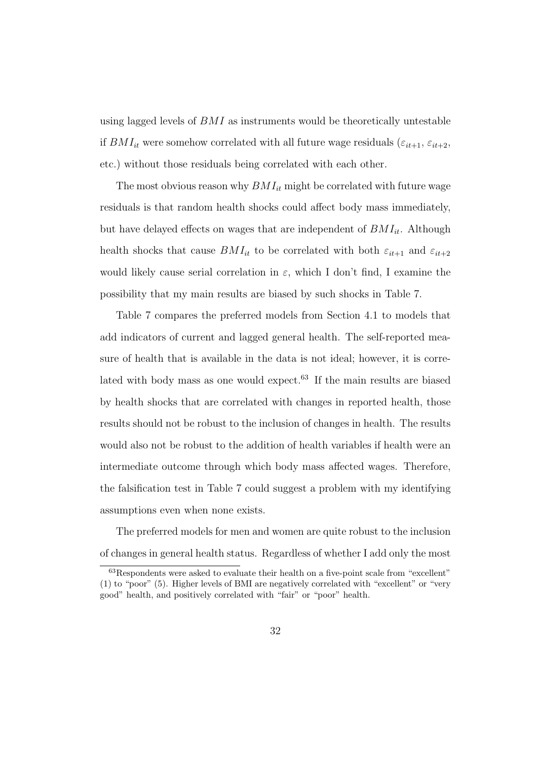using lagged levels of BMI as instruments would be theoretically untestable if  $BMI_{it}$  were somehow correlated with all future wage residuals ( $\varepsilon_{it+1}, \varepsilon_{it+2}$ , etc.) without those residuals being correlated with each other.

The most obvious reason why  $BMI_{it}$  might be correlated with future wage residuals is that random health shocks could affect body mass immediately, but have delayed effects on wages that are independent of  $BMI_{it}$ . Although health shocks that cause  $BMI_{it}$  to be correlated with both  $\varepsilon_{it+1}$  and  $\varepsilon_{it+2}$ would likely cause serial correlation in  $\varepsilon$ , which I don't find, I examine the possibility that my main results are biased by such shocks in Table 7.

Table 7 compares the preferred models from Section 4.1 to models that add indicators of current and lagged general health. The self-reported measure of health that is available in the data is not ideal; however, it is correlated with body mass as one would expect.<sup>63</sup> If the main results are biased by health shocks that are correlated with changes in reported health, those results should not be robust to the inclusion of changes in health. The results would also not be robust to the addition of health variables if health were an intermediate outcome through which body mass affected wages. Therefore, the falsification test in Table 7 could suggest a problem with my identifying assumptions even when none exists.

The preferred models for men and women are quite robust to the inclusion of changes in general health status. Regardless of whether I add only the most

<sup>63</sup>Respondents were asked to evaluate their health on a five-point scale from "excellent" (1) to "poor" (5). Higher levels of BMI are negatively correlated with "excellent" or "very good" health, and positively correlated with "fair" or "poor" health.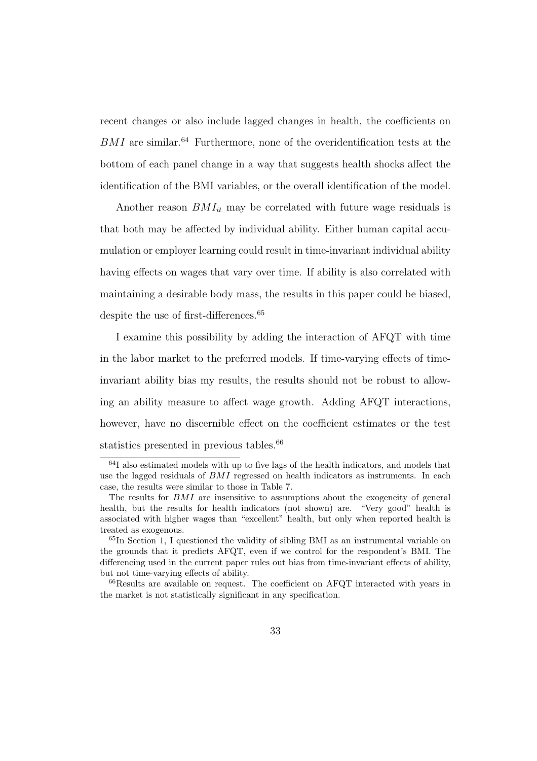recent changes or also include lagged changes in health, the coefficients on  $BMI$  are similar.<sup>64</sup> Furthermore, none of the overidentification tests at the bottom of each panel change in a way that suggests health shocks affect the identification of the BMI variables, or the overall identification of the model.

Another reason  $BMI_{it}$  may be correlated with future wage residuals is that both may be affected by individual ability. Either human capital accumulation or employer learning could result in time-invariant individual ability having effects on wages that vary over time. If ability is also correlated with maintaining a desirable body mass, the results in this paper could be biased, despite the use of first-differences.<sup>65</sup>

I examine this possibility by adding the interaction of AFQT with time in the labor market to the preferred models. If time-varying effects of timeinvariant ability bias my results, the results should not be robust to allowing an ability measure to affect wage growth. Adding AFQT interactions, however, have no discernible effect on the coefficient estimates or the test statistics presented in previous tables.<sup>66</sup>

<sup>64</sup>I also estimated models with up to five lags of the health indicators, and models that use the lagged residuals of BMI regressed on health indicators as instruments. In each case, the results were similar to those in Table 7.

The results for BMI are insensitive to assumptions about the exogeneity of general health, but the results for health indicators (not shown) are. "Very good" health is associated with higher wages than "excellent" health, but only when reported health is treated as exogenous.

<sup>65</sup>In Section 1, I questioned the validity of sibling BMI as an instrumental variable on the grounds that it predicts AFQT, even if we control for the respondent's BMI. The differencing used in the current paper rules out bias from time-invariant effects of ability, but not time-varying effects of ability.

 $^{66}$ Results are available on request. The coefficient on AFQT interacted with years in the market is not statistically significant in any specification.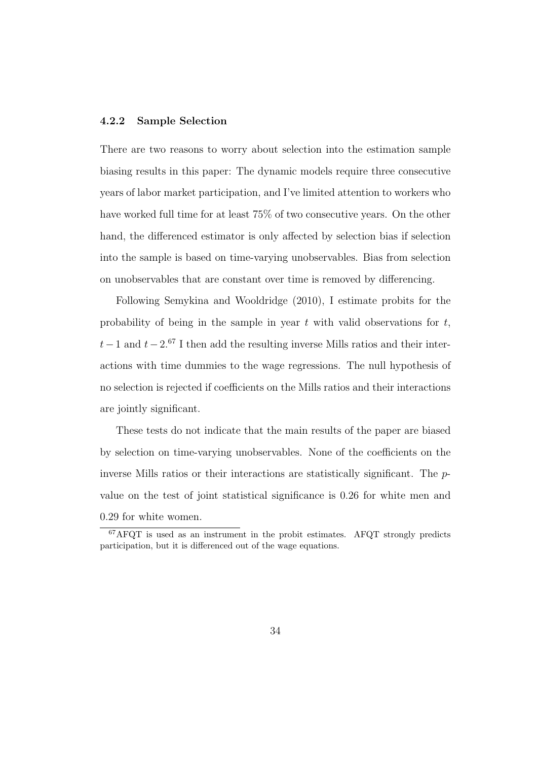#### 4.2.2 Sample Selection

There are two reasons to worry about selection into the estimation sample biasing results in this paper: The dynamic models require three consecutive years of labor market participation, and I've limited attention to workers who have worked full time for at least  $75\%$  of two consecutive years. On the other hand, the differenced estimator is only affected by selection bias if selection into the sample is based on time-varying unobservables. Bias from selection on unobservables that are constant over time is removed by differencing.

Following Semykina and Wooldridge (2010), I estimate probits for the probability of being in the sample in year  $t$  with valid observations for  $t$ ,  $t-1$  and  $t-2.57$  I then add the resulting inverse Mills ratios and their interactions with time dummies to the wage regressions. The null hypothesis of no selection is rejected if coefficients on the Mills ratios and their interactions are jointly significant.

These tests do not indicate that the main results of the paper are biased by selection on time-varying unobservables. None of the coefficients on the inverse Mills ratios or their interactions are statistically significant. The pvalue on the test of joint statistical significance is 0.26 for white men and 0.29 for white women.

 $67$ AFQT is used as an instrument in the probit estimates. AFQT strongly predicts participation, but it is differenced out of the wage equations.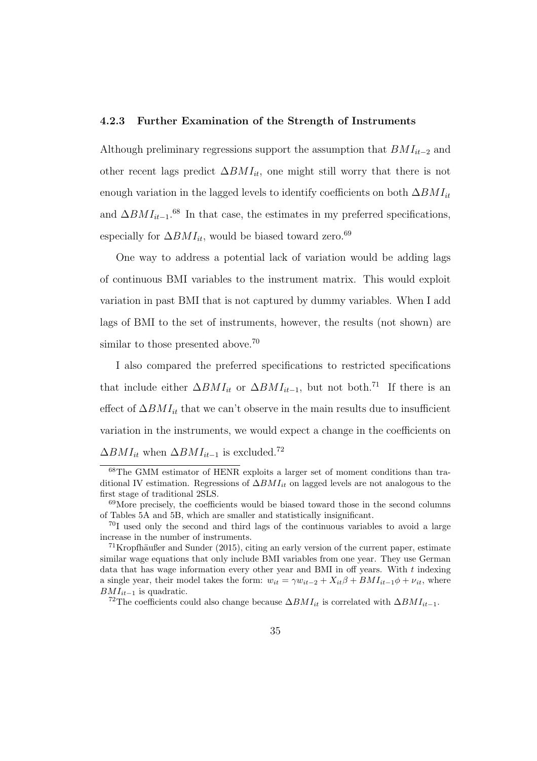#### 4.2.3 Further Examination of the Strength of Instruments

Although preliminary regressions support the assumption that  $BMI_{it-2}$  and other recent lags predict  $\Delta B M I_{it}$ , one might still worry that there is not enough variation in the lagged levels to identify coefficients on both  $\Delta BMI_{it}$ and  $\Delta BMI_{it-1}.$ <sup>68</sup> In that case, the estimates in my preferred specifications, especially for  $\Delta BMI_{it}$ , would be biased toward zero.<sup>69</sup>

One way to address a potential lack of variation would be adding lags of continuous BMI variables to the instrument matrix. This would exploit variation in past BMI that is not captured by dummy variables. When I add lags of BMI to the set of instruments, however, the results (not shown) are similar to those presented above.<sup>70</sup>

I also compared the preferred specifications to restricted specifications that include either  $\Delta BMI_{it}$  or  $\Delta BMI_{it-1}$ , but not both.<sup>71</sup> If there is an effect of  $\Delta BMI_{it}$  that we can't observe in the main results due to insufficient variation in the instruments, we would expect a change in the coefficients on  $\Delta BMI_{it}$  when  $\Delta BMI_{it-1}$  is excluded.<sup>72</sup>

<sup>68</sup>The GMM estimator of HENR exploits a larger set of moment conditions than traditional IV estimation. Regressions of  $\Delta BMI_{it}$  on lagged levels are not analogous to the first stage of traditional 2SLS.

 $69$ More precisely, the coefficients would be biased toward those in the second columns of Tables 5A and 5B, which are smaller and statistically insignificant.

<sup>70</sup>I used only the second and third lags of the continuous variables to avoid a large increase in the number of instruments.

 $71$ Kropfhäußer and Sunder (2015), citing an early version of the current paper, estimate similar wage equations that only include BMI variables from one year. They use German data that has wage information every other year and BMI in off years. With  $t$  indexing a single year, their model takes the form:  $w_{it} = \gamma w_{it-2} + X_{it} \beta + BM I_{it-1} \phi + \nu_{it}$ , where  $BMI_{it-1}$  is quadratic.

<sup>&</sup>lt;sup>72</sup>The coefficients could also change because  $\Delta BMI_{it}$  is correlated with  $\Delta BMI_{it-1}$ .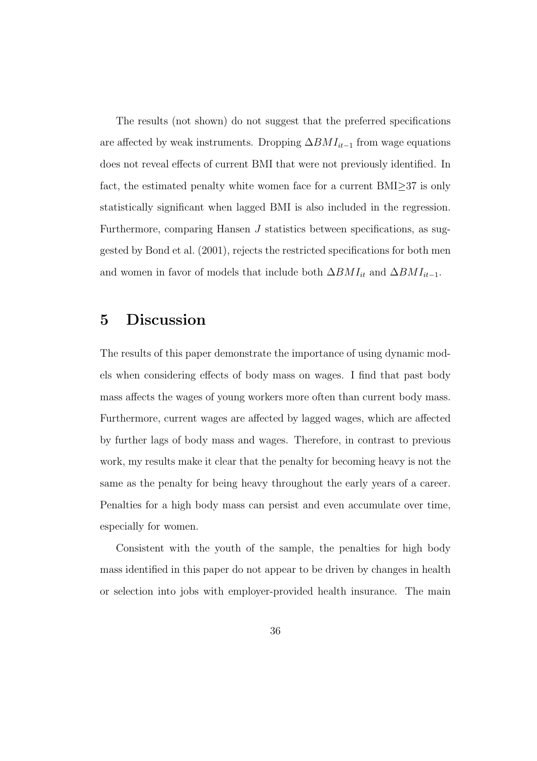The results (not shown) do not suggest that the preferred specifications are affected by weak instruments. Dropping  $\Delta BMI_{it-1}$  from wage equations does not reveal effects of current BMI that were not previously identified. In fact, the estimated penalty white women face for a current BMI≥37 is only statistically significant when lagged BMI is also included in the regression. Furthermore, comparing Hansen  $J$  statistics between specifications, as suggested by Bond et al. (2001), rejects the restricted specifications for both men and women in favor of models that include both  $\Delta BMI_{it}$  and  $\Delta BMI_{it-1}$ .

## 5 Discussion

The results of this paper demonstrate the importance of using dynamic models when considering effects of body mass on wages. I find that past body mass affects the wages of young workers more often than current body mass. Furthermore, current wages are affected by lagged wages, which are affected by further lags of body mass and wages. Therefore, in contrast to previous work, my results make it clear that the penalty for becoming heavy is not the same as the penalty for being heavy throughout the early years of a career. Penalties for a high body mass can persist and even accumulate over time, especially for women.

Consistent with the youth of the sample, the penalties for high body mass identified in this paper do not appear to be driven by changes in health or selection into jobs with employer-provided health insurance. The main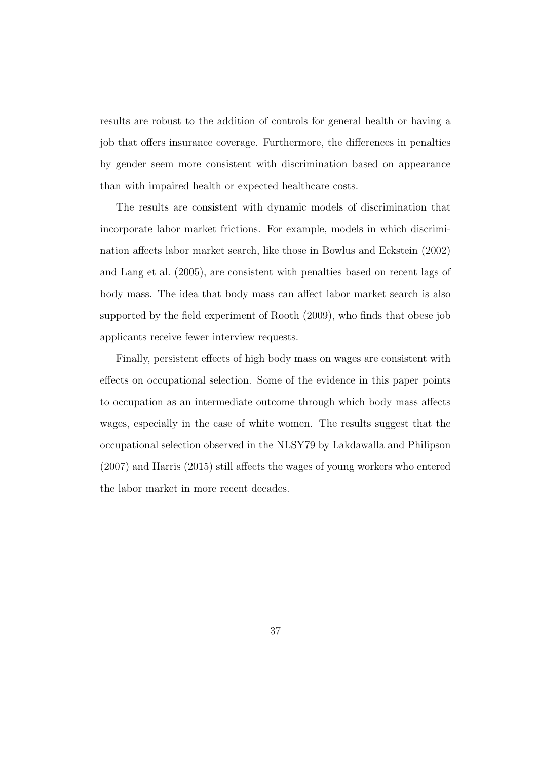results are robust to the addition of controls for general health or having a job that offers insurance coverage. Furthermore, the differences in penalties by gender seem more consistent with discrimination based on appearance than with impaired health or expected healthcare costs.

The results are consistent with dynamic models of discrimination that incorporate labor market frictions. For example, models in which discrimination affects labor market search, like those in Bowlus and Eckstein (2002) and Lang et al. (2005), are consistent with penalties based on recent lags of body mass. The idea that body mass can affect labor market search is also supported by the field experiment of Rooth (2009), who finds that obese job applicants receive fewer interview requests.

Finally, persistent effects of high body mass on wages are consistent with effects on occupational selection. Some of the evidence in this paper points to occupation as an intermediate outcome through which body mass affects wages, especially in the case of white women. The results suggest that the occupational selection observed in the NLSY79 by Lakdawalla and Philipson (2007) and Harris (2015) still affects the wages of young workers who entered the labor market in more recent decades.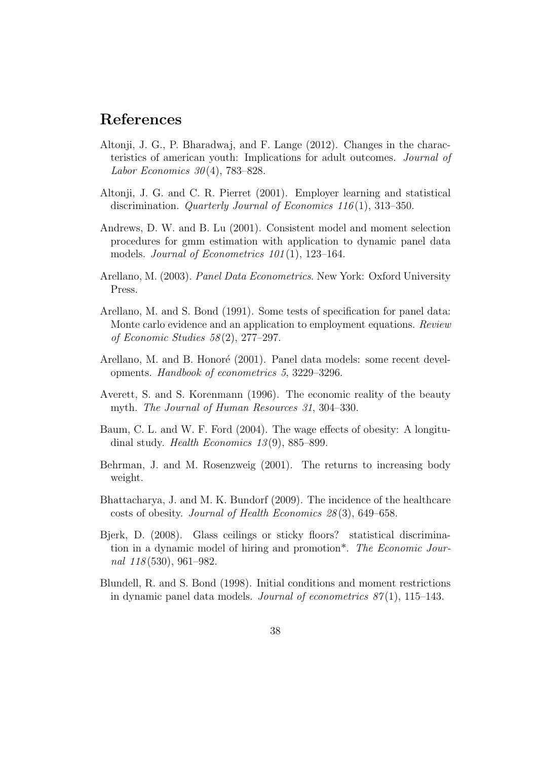## References

- Altonji, J. G., P. Bharadwaj, and F. Lange (2012). Changes in the characteristics of american youth: Implications for adult outcomes. Journal of *Labor Economics*  $30(4)$ , 783–828.
- Altonji, J. G. and C. R. Pierret (2001). Employer learning and statistical discrimination. *Quarterly Journal of Economics 116*(1), 313–350.
- Andrews, D. W. and B. Lu (2001). Consistent model and moment selection procedures for gmm estimation with application to dynamic panel data models. *Journal of Econometrics* 101(1), 123–164.
- Arellano, M. (2003). Panel Data Econometrics. New York: Oxford University Press.
- Arellano, M. and S. Bond (1991). Some tests of specification for panel data: Monte carlo evidence and an application to employment equations. Review of Economic Studies 58 (2), 277–297.
- Arellano, M. and B. Honoré (2001). Panel data models: some recent developments. Handbook of econometrics 5, 3229–3296.
- Averett, S. and S. Korenmann (1996). The economic reality of the beauty myth. The Journal of Human Resources 31, 304–330.
- Baum, C. L. and W. F. Ford (2004). The wage effects of obesity: A longitudinal study. *Health Economics* 13(9), 885–899.
- Behrman, J. and M. Rosenzweig (2001). The returns to increasing body weight.
- Bhattacharya, J. and M. K. Bundorf (2009). The incidence of the healthcare costs of obesity. Journal of Health Economics 28 (3), 649–658.
- Bjerk, D. (2008). Glass ceilings or sticky floors? statistical discrimination in a dynamic model of hiring and promotion\*. The Economic Journal 118(530), 961–982.
- Blundell, R. and S. Bond (1998). Initial conditions and moment restrictions in dynamic panel data models. Journal of econometrics  $87(1)$ , 115–143.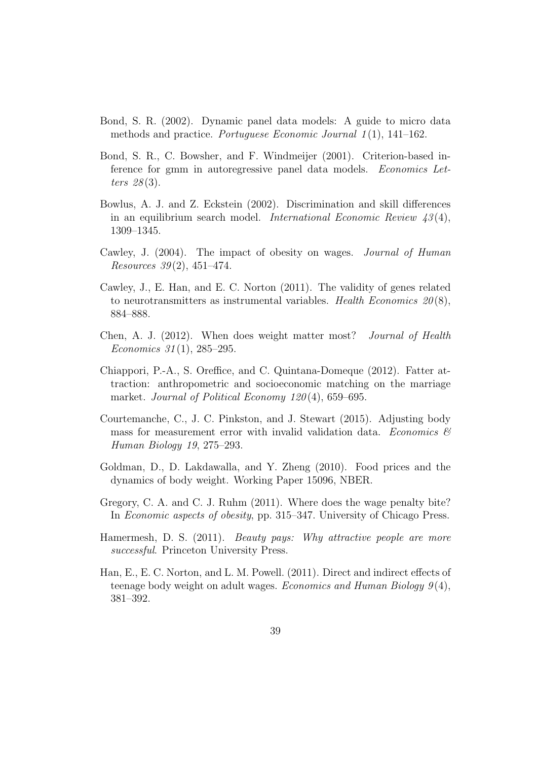- Bond, S. R. (2002). Dynamic panel data models: A guide to micro data methods and practice. Portuguese Economic Journal  $1(1)$ , 141–162.
- Bond, S. R., C. Bowsher, and F. Windmeijer (2001). Criterion-based inference for gmm in autoregressive panel data models. Economics Letters  $28(3)$ .
- Bowlus, A. J. and Z. Eckstein (2002). Discrimination and skill differences in an equilibrium search model. *International Economic Review 43(4)*, 1309–1345.
- Cawley, J. (2004). The impact of obesity on wages. Journal of Human *Resources* 39(2), 451-474.
- Cawley, J., E. Han, and E. C. Norton (2011). The validity of genes related to neurotransmitters as instrumental variables. Health Economics  $20(8)$ , 884–888.
- Chen, A. J. (2012). When does weight matter most? Journal of Health Economics  $31(1)$ , 285–295.
- Chiappori, P.-A., S. Oreffice, and C. Quintana-Domeque (2012). Fatter attraction: anthropometric and socioeconomic matching on the marriage market. Journal of Political Economy 120(4), 659–695.
- Courtemanche, C., J. C. Pinkston, and J. Stewart (2015). Adjusting body mass for measurement error with invalid validation data. Economics  $\mathcal C$ Human Biology 19, 275–293.
- Goldman, D., D. Lakdawalla, and Y. Zheng (2010). Food prices and the dynamics of body weight. Working Paper 15096, NBER.
- Gregory, C. A. and C. J. Ruhm (2011). Where does the wage penalty bite? In Economic aspects of obesity, pp. 315–347. University of Chicago Press.
- Hamermesh, D. S. (2011). *Beauty pays: Why attractive people are more* successful. Princeton University Press.
- Han, E., E. C. Norton, and L. M. Powell. (2011). Direct and indirect effects of teenage body weight on adult wages. Economics and Human Biology  $9(4)$ , 381–392.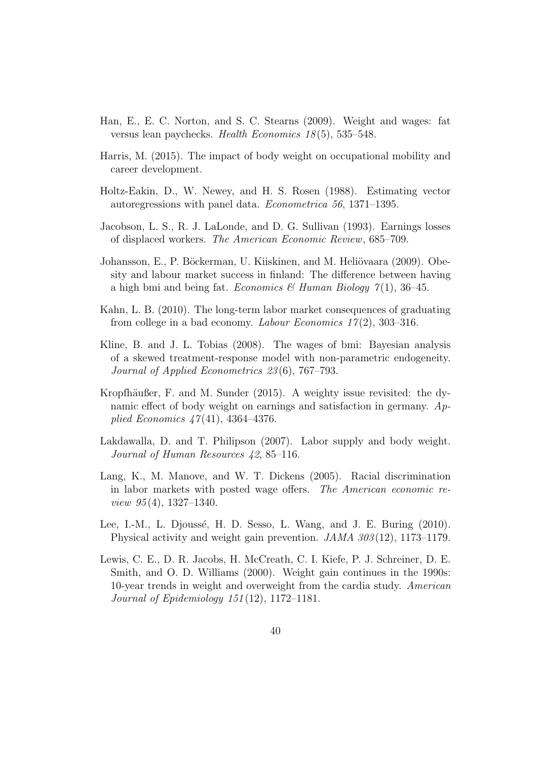- Han, E., E. C. Norton, and S. C. Stearns (2009). Weight and wages: fat versus lean paychecks. Health Economics 18 (5), 535–548.
- Harris, M. (2015). The impact of body weight on occupational mobility and career development.
- Holtz-Eakin, D., W. Newey, and H. S. Rosen (1988). Estimating vector autoregressions with panel data. Econometrica 56, 1371–1395.
- Jacobson, L. S., R. J. LaLonde, and D. G. Sullivan (1993). Earnings losses of displaced workers. The American Economic Review, 685–709.
- Johansson, E., P. Böckerman, U. Kiiskinen, and M. Heliövaara (2009). Obesity and labour market success in finland: The difference between having a high bmi and being fat. Economics & Human Biology  $\gamma(1)$ , 36–45.
- Kahn, L. B. (2010). The long-term labor market consequences of graduating from college in a bad economy. Labour Economics  $17(2)$ , 303–316.
- Kline, B. and J. L. Tobias (2008). The wages of bmi: Bayesian analysis of a skewed treatment-response model with non-parametric endogeneity. Journal of Applied Econometrics 23 (6), 767–793.
- Kropfhäußer, F. and M. Sunder  $(2015)$ . A weighty issue revisited: the dynamic effect of body weight on earnings and satisfaction in germany. Applied Economics  $47(41)$ , 4364-4376.
- Lakdawalla, D. and T. Philipson (2007). Labor supply and body weight. Journal of Human Resources 42, 85-116.
- Lang, K., M. Manove, and W. T. Dickens (2005). Racial discrimination in labor markets with posted wage offers. The American economic re*view 95* $(4)$ , 1327–1340.
- Lee, I.-M., L. Djoussé, H. D. Sesso, L. Wang, and J. E. Buring (2010). Physical activity and weight gain prevention. JAMA 303 (12), 1173–1179.
- Lewis, C. E., D. R. Jacobs, H. McCreath, C. I. Kiefe, P. J. Schreiner, D. E. Smith, and O. D. Williams (2000). Weight gain continues in the 1990s: 10-year trends in weight and overweight from the cardia study. American Journal of Epidemiology 151 (12), 1172–1181.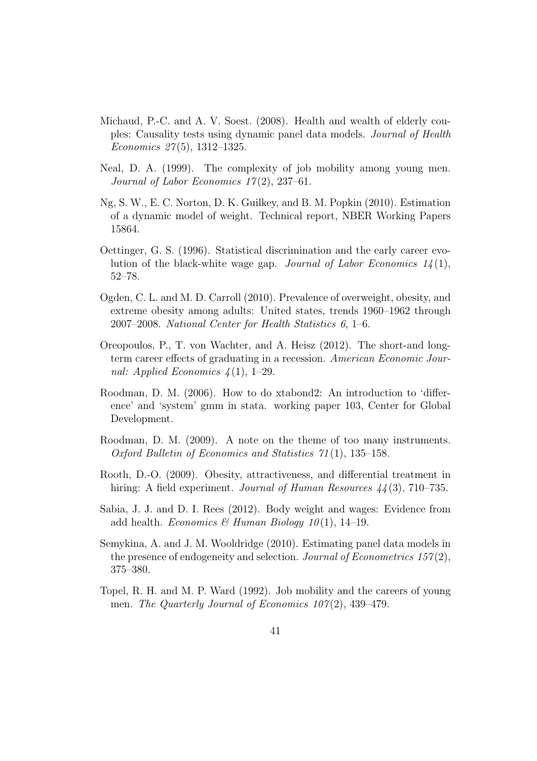- Michaud, P.-C. and A. V. Soest. (2008). Health and wealth of elderly couples: Causality tests using dynamic panel data models. Journal of Health Economics 27 (5), 1312–1325.
- Neal, D. A. (1999). The complexity of job mobility among young men. Journal of Labor Economics  $17(2)$ , 237–61.
- Ng, S. W., E. C. Norton, D. K. Guilkey, and B. M. Popkin (2010). Estimation of a dynamic model of weight. Technical report, NBER Working Papers 15864.
- Oettinger, G. S. (1996). Statistical discrimination and the early career evolution of the black-white wage gap. Journal of Labor Economics  $1/4(1)$ , 52–78.
- Ogden, C. L. and M. D. Carroll (2010). Prevalence of overweight, obesity, and extreme obesity among adults: United states, trends 1960–1962 through 2007–2008. National Center for Health Statistics 6, 1–6.
- Oreopoulos, P., T. von Wachter, and A. Heisz (2012). The short-and longterm career effects of graduating in a recession. American Economic Journal: Applied Economics  $\mathcal{A}(1)$ , 1–29.
- Roodman, D. M. (2006). How to do xtabond2: An introduction to 'difference' and 'system' gmm in stata. working paper 103, Center for Global Development.
- Roodman, D. M. (2009). A note on the theme of too many instruments. Oxford Bulletin of Economics and Statistics 71 (1), 135–158.
- Rooth, D.-O. (2009). Obesity, attractiveness, and differential treatment in hiring: A field experiment. *Journal of Human Resources*  $44(3)$ , 710–735.
- Sabia, J. J. and D. I. Rees (2012). Body weight and wages: Evidence from add health. Economics & Human Biology  $10(1)$ , 14-19.
- Semykina, A. and J. M. Wooldridge (2010). Estimating panel data models in the presence of endogeneity and selection. Journal of Econometrics  $157(2)$ , 375–380.
- Topel, R. H. and M. P. Ward (1992). Job mobility and the careers of young men. The Quarterly Journal of Economics  $107(2)$ , 439–479.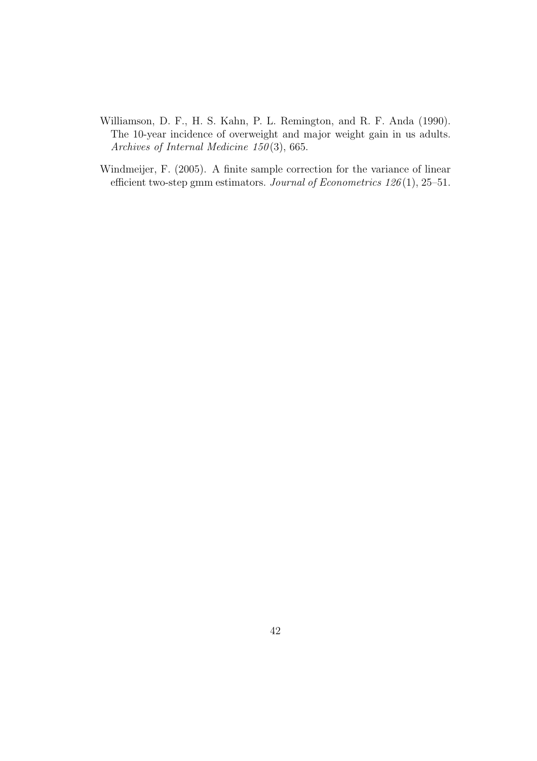- Williamson, D. F., H. S. Kahn, P. L. Remington, and R. F. Anda (1990). The 10-year incidence of overweight and major weight gain in us adults. Archives of Internal Medicine  $150(3)$ , 665.
- Windmeijer, F. (2005). A finite sample correction for the variance of linear efficient two-step gmm estimators. Journal of Econometrics 126 (1), 25–51.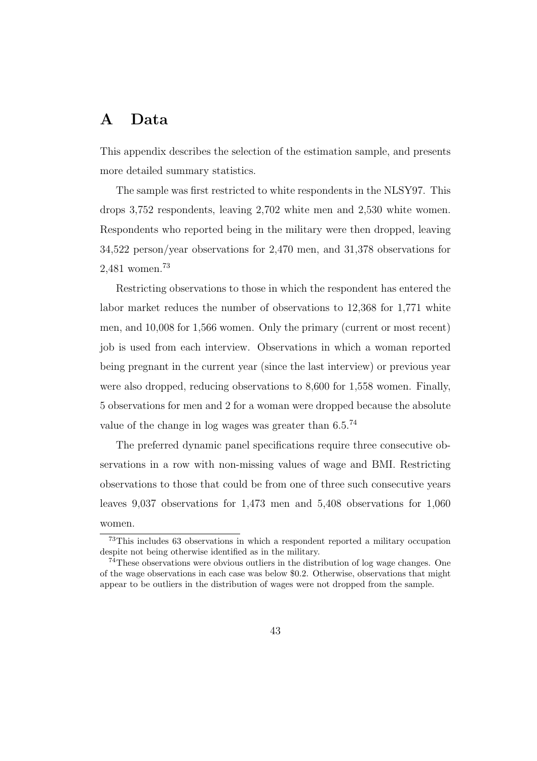## A Data

This appendix describes the selection of the estimation sample, and presents more detailed summary statistics.

The sample was first restricted to white respondents in the NLSY97. This drops 3,752 respondents, leaving 2,702 white men and 2,530 white women. Respondents who reported being in the military were then dropped, leaving 34,522 person/year observations for 2,470 men, and 31,378 observations for 2,481 women.<sup>73</sup>

Restricting observations to those in which the respondent has entered the labor market reduces the number of observations to 12,368 for 1,771 white men, and 10,008 for 1,566 women. Only the primary (current or most recent) job is used from each interview. Observations in which a woman reported being pregnant in the current year (since the last interview) or previous year were also dropped, reducing observations to 8,600 for 1,558 women. Finally, 5 observations for men and 2 for a woman were dropped because the absolute value of the change in log wages was greater than  $6.5.^{74}$ 

The preferred dynamic panel specifications require three consecutive observations in a row with non-missing values of wage and BMI. Restricting observations to those that could be from one of three such consecutive years leaves 9,037 observations for 1,473 men and 5,408 observations for 1,060 women.

<sup>73</sup>This includes 63 observations in which a respondent reported a military occupation despite not being otherwise identified as in the military.

<sup>74</sup>These observations were obvious outliers in the distribution of log wage changes. One of the wage observations in each case was below \$0.2. Otherwise, observations that might appear to be outliers in the distribution of wages were not dropped from the sample.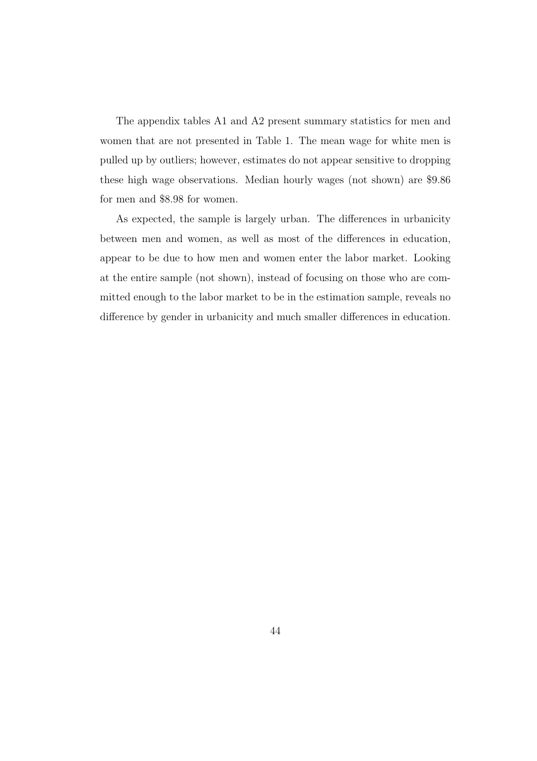The appendix tables A1 and A2 present summary statistics for men and women that are not presented in Table 1. The mean wage for white men is pulled up by outliers; however, estimates do not appear sensitive to dropping these high wage observations. Median hourly wages (not shown) are \$9.86 for men and \$8.98 for women.

As expected, the sample is largely urban. The differences in urbanicity between men and women, as well as most of the differences in education, appear to be due to how men and women enter the labor market. Looking at the entire sample (not shown), instead of focusing on those who are committed enough to the labor market to be in the estimation sample, reveals no difference by gender in urbanicity and much smaller differences in education.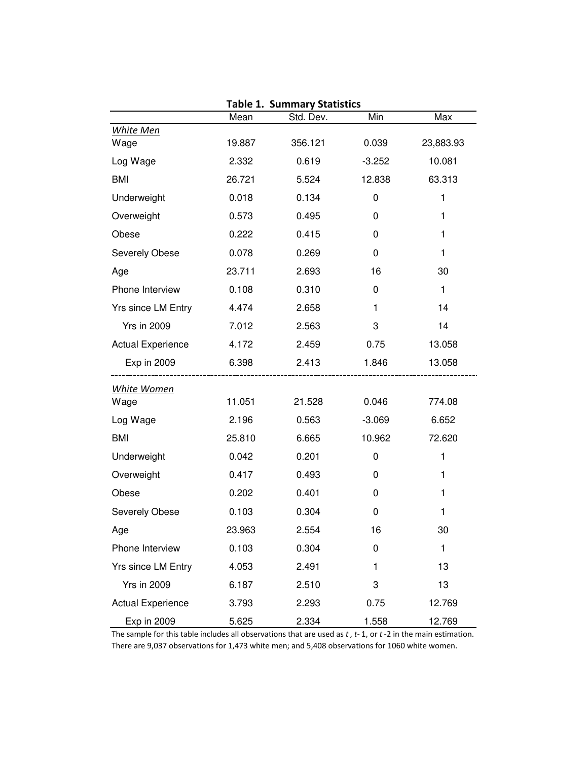|                          | Mean   | Std. Dev. | Min         | Max          |
|--------------------------|--------|-----------|-------------|--------------|
| <b>White Men</b>         |        |           |             |              |
| Wage                     | 19.887 | 356.121   | 0.039       | 23,883.93    |
| Log Wage                 | 2.332  | 0.619     | $-3.252$    | 10.081       |
| <b>BMI</b>               | 26.721 | 5.524     | 12.838      | 63.313       |
| Underweight              | 0.018  | 0.134     | $\mathbf 0$ | $\mathbf{1}$ |
| Overweight               | 0.573  | 0.495     | 0           | 1            |
| Obese                    | 0.222  | 0.415     | 0           | 1            |
| Severely Obese           | 0.078  | 0.269     | 0           | 1            |
| Age                      | 23.711 | 2.693     | 16          | 30           |
| Phone Interview          | 0.108  | 0.310     | 0           | $\mathbf{1}$ |
| Yrs since LM Entry       | 4.474  | 2.658     | 1           | 14           |
| <b>Yrs in 2009</b>       | 7.012  | 2.563     | 3           | 14           |
| <b>Actual Experience</b> | 4.172  | 2.459     | 0.75        | 13.058       |
| Exp in 2009              | 6.398  | 2.413     | 1.846       | 13.058       |
| <b>White Women</b>       |        |           |             |              |
| Wage                     | 11.051 | 21.528    | 0.046       | 774.08       |
| Log Wage                 | 2.196  | 0.563     | $-3.069$    | 6.652        |
| <b>BMI</b>               | 25.810 | 6.665     | 10.962      | 72.620       |
| Underweight              | 0.042  | 0.201     | 0           | $\mathbf{1}$ |
| Overweight               | 0.417  | 0.493     | 0           | 1            |
| Obese                    | 0.202  | 0.401     | 0           | 1            |
| Severely Obese           | 0.103  | 0.304     | 0           | 1            |
| Age                      | 23.963 | 2.554     | 16          | 30           |
| Phone Interview          | 0.103  | 0.304     | 0           | 1            |
| Yrs since LM Entry       | 4.053  | 2.491     | 1           | 13           |
| <b>Yrs in 2009</b>       | 6.187  | 2.510     | 3           | 13           |
| <b>Actual Experience</b> | 3.793  | 2.293     | 0.75        | 12.769       |
| Exp in 2009              | 5.625  | 2.334     | 1.558       | 12.769       |

**Table 1. Summary Statistics**

The sample for this table includes all observations that are used as *t* , *t-* 1, or *t* -2 in the main estimation. There are 9,037 observations for 1,473 white men; and 5,408 observations for 1060 white women.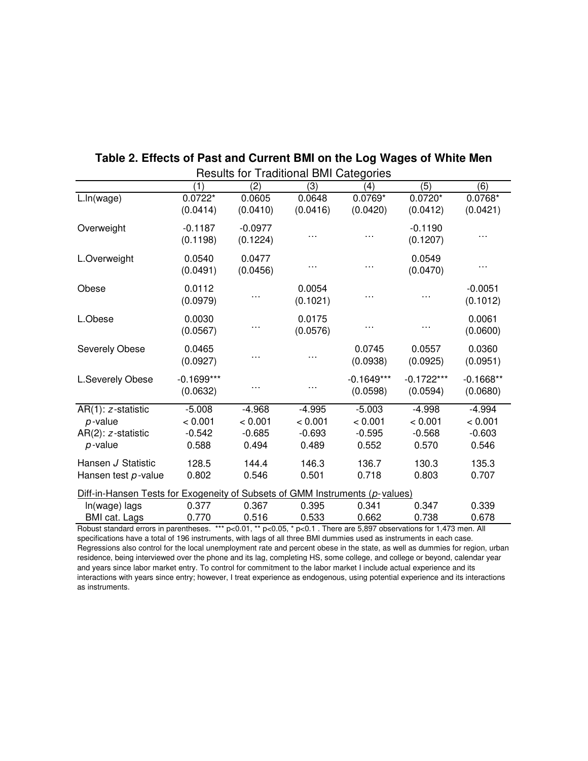|                                                                              |              |           | Results for Traditional Divit Categories |              |              |             |
|------------------------------------------------------------------------------|--------------|-----------|------------------------------------------|--------------|--------------|-------------|
|                                                                              | (1)          | (2)       | (3)                                      | (4)          | (5)          | (6)         |
| L.ln(wage)                                                                   | $0.0722*$    | 0.0605    | 0.0648                                   | $0.0769*$    | $0.0720*$    | $0.0768*$   |
|                                                                              | (0.0414)     | (0.0410)  | (0.0416)                                 | (0.0420)     | (0.0412)     | (0.0421)    |
|                                                                              |              |           |                                          |              |              |             |
| Overweight                                                                   | $-0.1187$    | $-0.0977$ |                                          | .            | $-0.1190$    |             |
|                                                                              | (0.1198)     | (0.1224)  |                                          |              | (0.1207)     |             |
| L.Overweight                                                                 | 0.0540       | 0.0477    |                                          |              | 0.0549       |             |
|                                                                              | (0.0491)     | (0.0456)  |                                          |              | (0.0470)     |             |
|                                                                              |              |           |                                          |              |              |             |
| Obese                                                                        | 0.0112       |           | 0.0054                                   |              |              | $-0.0051$   |
|                                                                              | (0.0979)     |           | (0.1021)                                 |              |              | (0.1012)    |
| L.Obese                                                                      | 0.0030       |           | 0.0175                                   |              |              | 0.0061      |
|                                                                              |              |           |                                          |              |              |             |
|                                                                              | (0.0567)     |           | (0.0576)                                 |              |              | (0.0600)    |
| Severely Obese                                                               | 0.0465       |           |                                          | 0.0745       | 0.0557       | 0.0360      |
|                                                                              | (0.0927)     |           |                                          | (0.0938)     | (0.0925)     | (0.0951)    |
|                                                                              |              |           |                                          |              |              |             |
| L.Severely Obese                                                             | $-0.1699***$ |           |                                          | $-0.1649***$ | $-0.1722***$ | $-0.1668**$ |
|                                                                              | (0.0632)     |           |                                          | (0.0598)     | (0.0594)     | (0.0680)    |
| $AR(1): z-statistic$                                                         | $-5.008$     | $-4.968$  | $-4.995$                                 | $-5.003$     | $-4.998$     | $-4.994$    |
| $p$ -value                                                                   | < 0.001      | < 0.001   | < 0.001                                  | < 0.001      | < 0.001      | < 0.001     |
| $AR(2)$ : $z$ -statistic                                                     | $-0.542$     | $-0.685$  | $-0.693$                                 | $-0.595$     | $-0.568$     | $-0.603$    |
| $p$ -value                                                                   | 0.588        | 0.494     | 0.489                                    | 0.552        | 0.570        | 0.546       |
|                                                                              |              |           |                                          |              |              |             |
| Hansen J Statistic                                                           | 128.5        | 144.4     | 146.3                                    | 136.7        | 130.3        | 135.3       |
| Hansen test p-value                                                          | 0.802        | 0.546     | 0.501                                    | 0.718        | 0.803        | 0.707       |
| Diff-in-Hansen Tests for Exogeneity of Subsets of GMM Instruments (p-values) |              |           |                                          |              |              |             |
| In(wage) lags                                                                | 0.377        | 0.367     | 0.395                                    | 0.341        | 0.347        | 0.339       |
| <b>BMI</b> cat. Lags                                                         | 0.770        | 0.516     | 0.533                                    | 0.662        | 0.738        | 0.678       |

#### Results for Traditional BMI Categories **Table 2. Effects of Past and Current BMI on the Log Wages of White Men**

Robust standard errors in parentheses. \*\*\* p<0.01, \*\* p<0.05, \* p<0.1 . There are 5,897 observations for 1,473 men. All specifications have a total of 196 instruments, with lags of all three BMI dummies used as instruments in each case. Regressions also control for the local unemployment rate and percent obese in the state, as well as dummies for region, urban residence, being interviewed over the phone and its lag, completing HS, some college, and college or beyond, calendar year and years since labor market entry. To control for commitment to the labor market I include actual experience and its interactions with years since entry; however, I treat experience as endogenous, using potential experience and its interactions as instruments.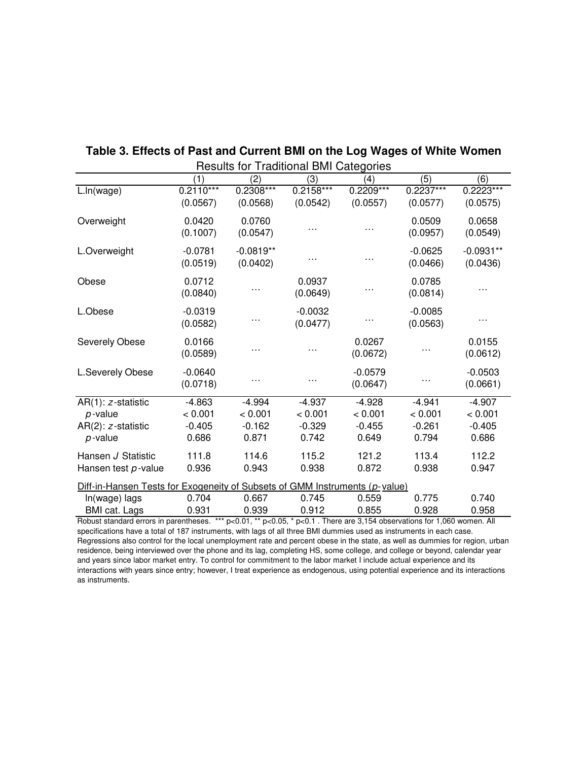|                                                                             | (1)                     | ricound for Traditional Divir Odicyones<br>(2) | (3)                     | (4)                     | (5)                     | (6)                     |
|-----------------------------------------------------------------------------|-------------------------|------------------------------------------------|-------------------------|-------------------------|-------------------------|-------------------------|
| L.ln(wage)                                                                  | $0.2110***$<br>(0.0567) | $0.2308***$<br>(0.0568)                        | $0.2158***$<br>(0.0542) | $0.2209***$<br>(0.0557) | $0.2237***$<br>(0.0577) | $0.2223***$<br>(0.0575) |
| Overweight                                                                  | 0.0420<br>(0.1007)      | 0.0760<br>(0.0547)                             |                         |                         | 0.0509<br>(0.0957)      | 0.0658<br>(0.0549)      |
| L.Overweight                                                                | $-0.0781$<br>(0.0519)   | $-0.0819**$<br>(0.0402)                        |                         | .                       | $-0.0625$<br>(0.0466)   | $-0.0931**$<br>(0.0436) |
| Obese                                                                       | 0.0712<br>(0.0840)      |                                                | 0.0937<br>(0.0649)      |                         | 0.0785<br>(0.0814)      |                         |
| L.Obese                                                                     | $-0.0319$<br>(0.0582)   |                                                | $-0.0032$<br>(0.0477)   |                         | $-0.0085$<br>(0.0563)   |                         |
| Severely Obese                                                              | 0.0166<br>(0.0589)      |                                                |                         | 0.0267<br>(0.0672)      |                         | 0.0155<br>(0.0612)      |
| L.Severely Obese                                                            | $-0.0640$<br>(0.0718)   |                                                |                         | $-0.0579$<br>(0.0647)   |                         | $-0.0503$<br>(0.0661)   |
| $AR(1): z-statistic$                                                        | $-4.863$                | $-4.994$                                       | $-4.937$                | $-4.928$                | $-4.941$                | $-4.907$                |
| $p$ -value                                                                  | < 0.001                 | < 0.001                                        | < 0.001                 | < 0.001                 | < 0.001                 | < 0.001                 |
| $AR(2)$ : $z$ -statistic                                                    | $-0.405$                | $-0.162$                                       | $-0.329$                | $-0.455$                | $-0.261$                | $-0.405$                |
| $p$ -value                                                                  | 0.686                   | 0.871                                          | 0.742                   | 0.649                   | 0.794                   | 0.686                   |
| Hansen J Statistic                                                          | 111.8                   | 114.6                                          | 115.2                   | 121.2                   | 113.4                   | 112.2                   |
| Hansen test p-value                                                         | 0.936                   | 0.943                                          | 0.938                   | 0.872                   | 0.938                   | 0.947                   |
| Diff-in-Hansen Tests for Exogeneity of Subsets of GMM Instruments (p-value) |                         |                                                |                         |                         |                         |                         |
| In(wage) lags                                                               | 0.704                   | 0.667                                          | 0.745                   | 0.559                   | 0.775                   | 0.740                   |
| <b>BMI</b> cat. Lags                                                        | 0.931                   | 0.939                                          | 0.912                   | 0.855                   | 0.928                   | 0.958                   |

#### Results for Traditional BMI Categories **Table 3. Effects of Past and Current BMI on the Log Wages of White Women**

Robust standard errors in parentheses. \*\*\* p<0.01, \*\* p<0.05, \* p<0.1 . There are 3,154 observations for 1,060 women. All specifications have a total of 187 instruments, with lags of all three BMI dummies used as instruments in each case. Regressions also control for the local unemployment rate and percent obese in the state, as well as dummies for region, urban residence, being interviewed over the phone and its lag, completing HS, some college, and college or beyond, calendar year and years since labor market entry. To control for commitment to the labor market I include actual experience and its interactions with years since entry; however, I treat experience as endogenous, using potential experience and its interactions as instruments.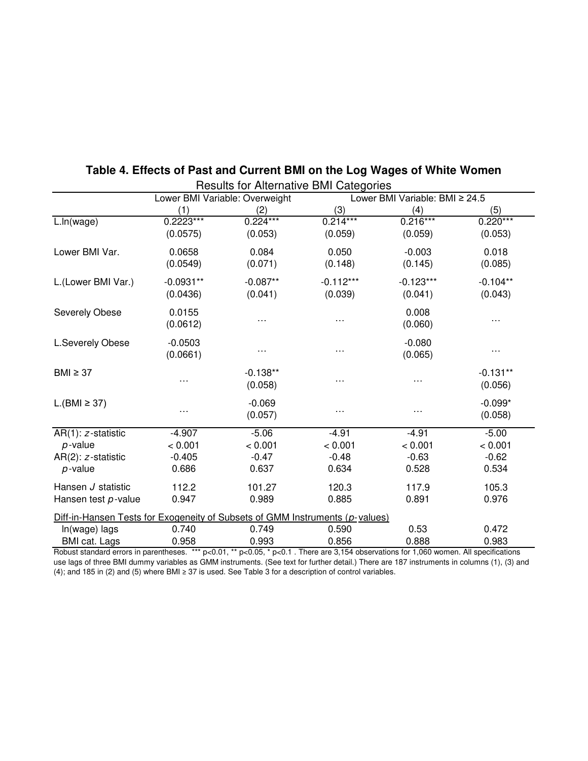| <b>Results for Alternative BMI Categories</b>                                                                                                                                 |                                |            |             |                                |            |  |
|-------------------------------------------------------------------------------------------------------------------------------------------------------------------------------|--------------------------------|------------|-------------|--------------------------------|------------|--|
|                                                                                                                                                                               | Lower BMI Variable: Overweight |            |             | Lower BMI Variable: BMI ≥ 24.5 |            |  |
|                                                                                                                                                                               | (1)                            | (2)        | (3)         | (4)                            | (5)        |  |
| L.ln(wage)                                                                                                                                                                    | $0.2223***$                    | $0.224***$ | $0.214***$  | $0.216***$                     | $0.220***$ |  |
|                                                                                                                                                                               | (0.0575)                       | (0.053)    | (0.059)     | (0.059)                        | (0.053)    |  |
| Lower BMI Var.                                                                                                                                                                | 0.0658                         | 0.084      | 0.050       | $-0.003$                       | 0.018      |  |
|                                                                                                                                                                               | (0.0549)                       | (0.071)    | (0.148)     | (0.145)                        | (0.085)    |  |
| L.(Lower BMI Var.)                                                                                                                                                            | $-0.0931**$                    | $-0.087**$ | $-0.112***$ | $-0.123***$                    | $-0.104**$ |  |
|                                                                                                                                                                               | (0.0436)                       | (0.041)    | (0.039)     | (0.041)                        | (0.043)    |  |
| Severely Obese                                                                                                                                                                | 0.0155                         |            |             | 0.008                          |            |  |
|                                                                                                                                                                               | (0.0612)                       | .          | .           | (0.060)                        |            |  |
| L.Severely Obese                                                                                                                                                              | $-0.0503$                      |            |             | $-0.080$                       |            |  |
|                                                                                                                                                                               | (0.0661)                       | $\cdots$   | . .         | (0.065)                        | .          |  |
| $BMI \geq 37$                                                                                                                                                                 |                                | $-0.138**$ |             |                                | $-0.131**$ |  |
|                                                                                                                                                                               | .                              | (0.058)    | . .         |                                | (0.056)    |  |
| $L.(BMI \geq 37)$                                                                                                                                                             |                                | $-0.069$   |             |                                | $-0.099*$  |  |
|                                                                                                                                                                               | .                              | (0.057)    | $\cdots$    |                                | (0.058)    |  |
| AR(1): z-statistic                                                                                                                                                            | $-4.907$                       | $-5.06$    | $-4.91$     | $-4.91$                        | $-5.00$    |  |
| $p$ -value                                                                                                                                                                    | < 0.001                        | < 0.001    | < 0.001     | < 0.001                        | < 0.001    |  |
| AR(2): z-statistic                                                                                                                                                            | $-0.405$                       | $-0.47$    | $-0.48$     | $-0.63$                        | $-0.62$    |  |
| $p$ -value                                                                                                                                                                    | 0.686                          | 0.637      | 0.634       | 0.528                          | 0.534      |  |
| Hansen J statistic                                                                                                                                                            | 112.2                          | 101.27     | 120.3       | 117.9                          | 105.3      |  |
| Hansen test p-value                                                                                                                                                           | 0.947                          | 0.989      | 0.885       | 0.891                          | 0.976      |  |
| Diff-in-Hansen Tests for Exogeneity of Subsets of GMM Instruments (p-values)                                                                                                  |                                |            |             |                                |            |  |
| In(wage) lags                                                                                                                                                                 | 0.740                          | 0.749      | 0.590       | 0.53                           | 0.472      |  |
| BMI cat. Lags<br>Bobust standard errors in parentheses, *** $p \lt 0.01$ , ** $p \lt 0.05$ , * $p \lt 0.1$ . There are 3.154 observations for 1.060 women. All specifications | 0.958                          | 0.993      | 0.856       | 0.888                          | 0.983      |  |

## **Table 4. Effects of Past and Current BMI on the Log Wages of White Women**

Robust standard errors in parentheses. \*\*\* p<0.01, \*\* p<0.05, \* p<0.1 . There are 3,154 observations for 1,060 women. All specifications use lags of three BMI dummy variables as GMM instruments. (See text for further detail.) There are 187 instruments in columns (1), (3) and (4); and 185 in (2) and (5) where BMI ≥ 37 is used. See Table 3 for a description of control variables.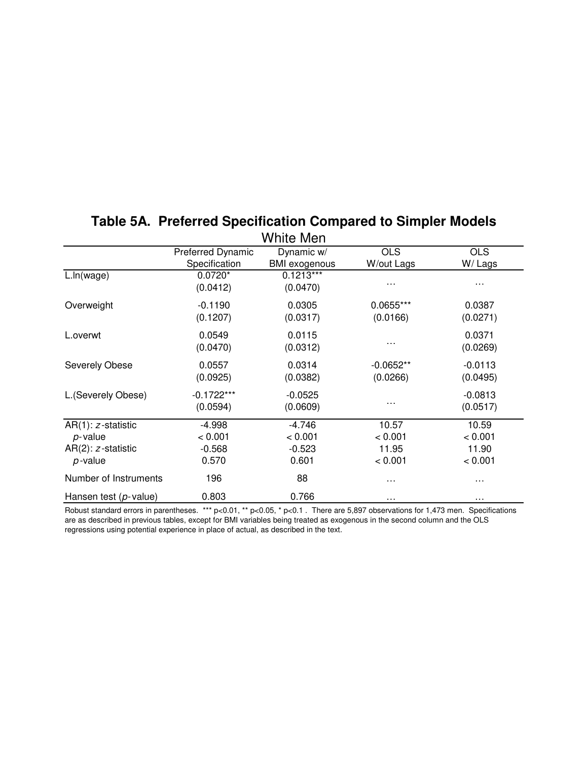| White Men                                                                    |                                          |                                          |                                      |                                      |  |  |  |  |
|------------------------------------------------------------------------------|------------------------------------------|------------------------------------------|--------------------------------------|--------------------------------------|--|--|--|--|
|                                                                              | Preferred Dynamic<br>Specification       | Dynamic w/<br><b>BMI</b> exogenous       | <b>OLS</b><br>W/out Lags             | <b>OLS</b><br>W/Lags                 |  |  |  |  |
| L.ln(wage)                                                                   | $0.0720*$<br>(0.0412)                    | $0.1213***$<br>(0.0470)                  | $\cdots$                             | $\cdots$                             |  |  |  |  |
| Overweight                                                                   | $-0.1190$<br>(0.1207)                    | 0.0305<br>(0.0317)                       | 0.0655***<br>(0.0166)                | 0.0387<br>(0.0271)                   |  |  |  |  |
| L.overwt                                                                     | 0.0549<br>(0.0470)                       | 0.0115<br>(0.0312)                       | $\cdots$                             | 0.0371<br>(0.0269)                   |  |  |  |  |
| Severely Obese                                                               | 0.0557<br>(0.0925)                       | 0.0314<br>(0.0382)                       | $-0.0652**$<br>(0.0266)              | $-0.0113$<br>(0.0495)                |  |  |  |  |
| L.(Severely Obese)                                                           | $-0.1722***$<br>(0.0594)                 | $-0.0525$<br>(0.0609)                    | .                                    | $-0.0813$<br>(0.0517)                |  |  |  |  |
| $AR(1): z-statistic$<br>$p$ -value<br>$AR(2)$ : $z$ -statistic<br>$p$ -value | $-4.998$<br>< 0.001<br>$-0.568$<br>0.570 | $-4.746$<br>< 0.001<br>$-0.523$<br>0.601 | 10.57<br>< 0.001<br>11.95<br>< 0.001 | 10.59<br>< 0.001<br>11.90<br>< 0.001 |  |  |  |  |
| Number of Instruments                                                        | 196                                      | 88                                       | $\cdots$                             | .                                    |  |  |  |  |
| Hansen test $(p$ -value)                                                     | 0.803                                    | 0.766                                    | $\cdots$                             | $\cdots$                             |  |  |  |  |

## **Table 5A. Preferred Specification Compared to Simpler Models**

Robust standard errors in parentheses. \*\*\* p<0.01, \*\* p<0.05, \* p<0.1 . There are 5,897 observations for 1,473 men. Specifications are as described in previous tables, except for BMI variables being treated as exogenous in the second column and the OLS regressions using potential experience in place of actual, as described in the text.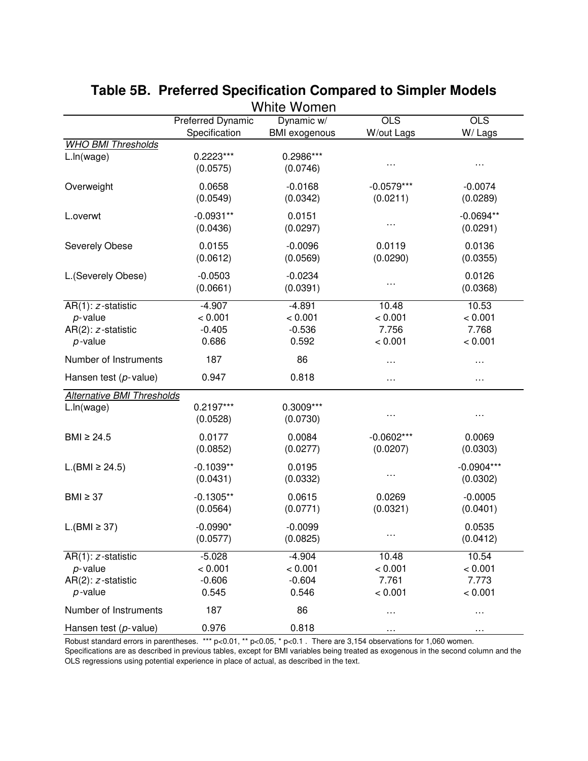|                                                                      |                                          | White Women                              |                                      |                                      |
|----------------------------------------------------------------------|------------------------------------------|------------------------------------------|--------------------------------------|--------------------------------------|
|                                                                      | <b>Preferred Dynamic</b>                 | Dynamic w/                               | $\overline{OLS}$                     | <b>OLS</b>                           |
|                                                                      | Specification                            | <b>BMI</b> exogenous                     | W/out Lags                           | W/Lags                               |
| <b>WHO BMI Thresholds</b>                                            | $0.2223***$                              |                                          |                                      |                                      |
| L.ln(wage)                                                           | (0.0575)                                 | 0.2986***<br>(0.0746)                    |                                      | $\cdots$                             |
| Overweight                                                           | 0.0658<br>(0.0549)                       | $-0.0168$<br>(0.0342)                    | $-0.0579***$<br>(0.0211)             | $-0.0074$<br>(0.0289)                |
| L.overwt                                                             | $-0.0931**$<br>(0.0436)                  | 0.0151<br>(0.0297)                       | .                                    | $-0.0694**$<br>(0.0291)              |
| Severely Obese                                                       | 0.0155<br>(0.0612)                       | $-0.0096$<br>(0.0569)                    | 0.0119<br>(0.0290)                   | 0.0136<br>(0.0355)                   |
| L.(Severely Obese)                                                   | $-0.0503$<br>(0.0661)                    | $-0.0234$<br>(0.0391)                    | .                                    | 0.0126<br>(0.0368)                   |
| AR(1): z-statistic<br>$p$ -value<br>AR(2): z-statistic<br>$p$ -value | $-4.907$<br>< 0.001<br>$-0.405$<br>0.686 | $-4.891$<br>< 0.001<br>$-0.536$<br>0.592 | 10.48<br>< 0.001<br>7.756<br>< 0.001 | 10.53<br>< 0.001<br>7.768<br>< 0.001 |
| Number of Instruments                                                | 187                                      | 86                                       |                                      | $\cdots$                             |
| Hansen test $(p$ -value)                                             | 0.947                                    | 0.818                                    | .                                    | $\cdots$                             |
| Alternative BMI Thresholds<br>L.In(wage)                             | $0.2197***$<br>(0.0528)                  | 0.3009***<br>(0.0730)                    |                                      | $\cdots$                             |
| BMI $\geq$ 24.5                                                      | 0.0177<br>(0.0852)                       | 0.0084<br>(0.0277)                       | $-0.0602***$<br>(0.0207)             | 0.0069<br>(0.0303)                   |
| $L.(BMI \ge 24.5)$                                                   | $-0.1039**$<br>(0.0431)                  | 0.0195<br>(0.0332)                       | .                                    | $-0.0904***$<br>(0.0302)             |
| $BMI \geq 37$                                                        | $-0.1305**$<br>(0.0564)                  | 0.0615<br>(0.0771)                       | 0.0269<br>(0.0321)                   | $-0.0005$<br>(0.0401)                |
| L.(BMI ≥ 37)                                                         | $-0.0990*$<br>(0.0577)                   | $-0.0099$<br>(0.0825)                    | $\cdots$                             | 0.0535<br>(0.0412)                   |
| AR(1): z-statistic<br>$p$ -value<br>AR(2): z-statistic<br>$p$ -value | $-5.028$<br>< 0.001<br>$-0.606$<br>0.545 | $-4.904$<br>< 0.001<br>$-0.604$<br>0.546 | 10.48<br>< 0.001<br>7.761<br>< 0.001 | 10.54<br>< 0.001<br>7.773<br>< 0.001 |
| Number of Instruments                                                | 187                                      | 86                                       | .                                    | $\cdots$                             |
| Hansen test $(p$ -value)                                             | 0.976                                    | 0.818                                    |                                      |                                      |

# **Table 5B. Preferred Specification Compared to Simpler Models**

Robust standard errors in parentheses. \*\*\* p<0.01, \*\* p<0.05, \* p<0.1 . There are 3,154 observations for 1,060 women.

Specifications are as described in previous tables, except for BMI variables being treated as exogenous in the second column and the OLS regressions using potential experience in place of actual, as described in the text.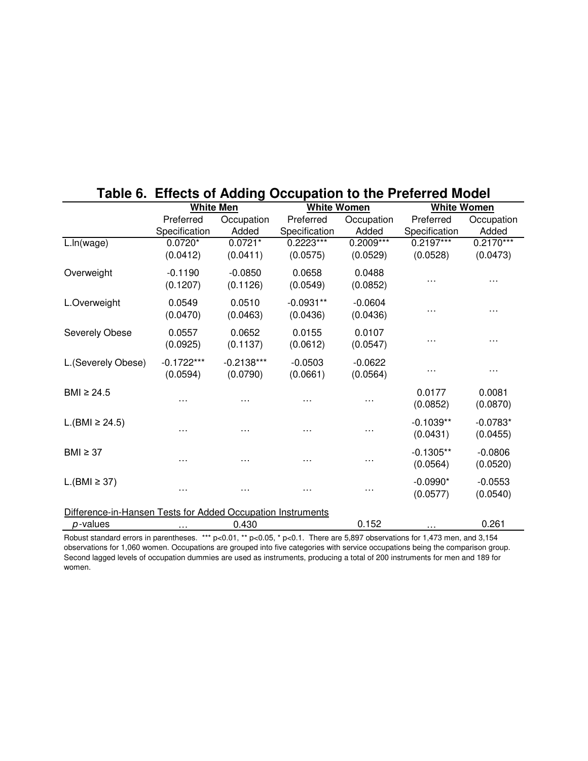|                                                             | <b>White Men</b>           |                          | <b>White Women</b>         |                         |                            | <b>White Women</b>      |  |
|-------------------------------------------------------------|----------------------------|--------------------------|----------------------------|-------------------------|----------------------------|-------------------------|--|
|                                                             | Preferred<br>Specification | Occupation<br>Added      | Preferred<br>Specification | Occupation<br>Added     | Preferred<br>Specification | Occupation<br>Added     |  |
| L.ln(wage)                                                  | $0.0720*$<br>(0.0412)      | $0.0721*$<br>(0.0411)    | 0.2223***<br>(0.0575)      | $0.2009***$<br>(0.0529) | $0.2197***$<br>(0.0528)    | $0.2170***$<br>(0.0473) |  |
| Overweight                                                  | $-0.1190$<br>(0.1207)      | $-0.0850$<br>(0.1126)    | 0.0658<br>(0.0549)         | 0.0488<br>(0.0852)      |                            |                         |  |
| L.Overweight                                                | 0.0549<br>(0.0470)         | 0.0510<br>(0.0463)       | $-0.0931**$<br>(0.0436)    | $-0.0604$<br>(0.0436)   |                            | .                       |  |
| Severely Obese                                              | 0.0557<br>(0.0925)         | 0.0652<br>(0.1137)       | 0.0155<br>(0.0612)         | 0.0107<br>(0.0547)      |                            | .                       |  |
| L.(Severely Obese)                                          | $-0.1722***$<br>(0.0594)   | $-0.2138***$<br>(0.0790) | $-0.0503$<br>(0.0661)      | $-0.0622$<br>(0.0564)   |                            | .                       |  |
| BMI $\geq$ 24.5                                             |                            |                          |                            | .                       | 0.0177<br>(0.0852)         | 0.0081<br>(0.0870)      |  |
| $L.(BMI \ge 24.5)$                                          |                            | .                        |                            | .                       | $-0.1039**$<br>(0.0431)    | $-0.0783*$<br>(0.0455)  |  |
| $BMI \geq 37$                                               | $\cdots$                   | $\cdots$                 | $\cdots$                   | $\cdots$                | $-0.1305**$<br>(0.0564)    | $-0.0806$<br>(0.0520)   |  |
| $L.(BMI \geq 37)$                                           | $\cdots$                   | $\cdots$                 | .                          | .                       | $-0.0990*$<br>(0.0577)     | $-0.0553$<br>(0.0540)   |  |
| Difference-in-Hansen Tests for Added Occupation Instruments |                            |                          |                            |                         |                            |                         |  |
| p-values                                                    | $\cdots$                   | 0.430                    |                            | 0.152                   | .                          | 0.261                   |  |

## **Table 6. Effects of Adding Occupation to the Preferred Model**

Robust standard errors in parentheses. \*\*\* p<0.01, \*\* p<0.05, \* p<0.1. There are 5,897 observations for 1,473 men, and 3,154 observations for 1,060 women. Occupations are grouped into five categories with service occupations being the comparison group. Second lagged levels of occupation dummies are used as instruments, producing a total of 200 instruments for men and 189 for women.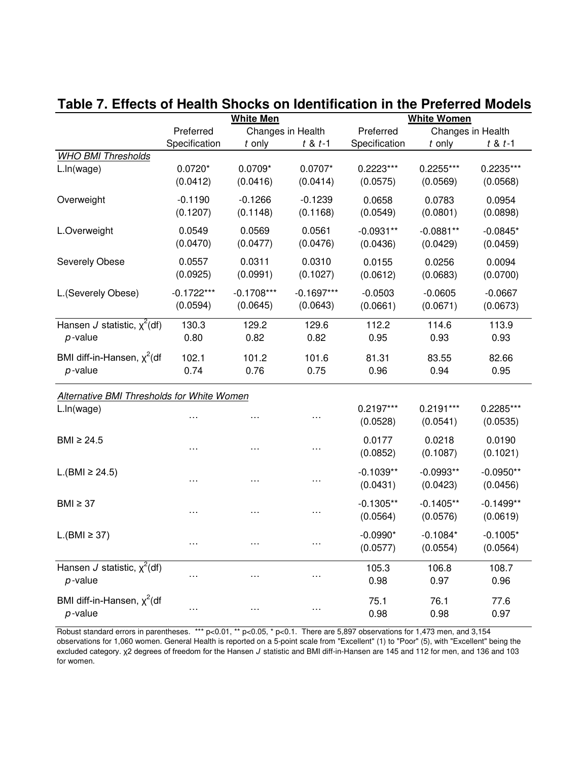|                                                   | <b>White Men</b> |               |                   | <b>White Women</b> |                   |             |  |
|---------------------------------------------------|------------------|---------------|-------------------|--------------------|-------------------|-------------|--|
|                                                   | Preferred        |               | Changes in Health | Preferred          | Changes in Health |             |  |
|                                                   | Specification    | t only        | $t 8 t - 1$       | Specification      | $t$ only          | $t 8 t - 1$ |  |
| <b>WHO BMI Thresholds</b>                         |                  |               |                   |                    |                   |             |  |
| L.ln(wage)                                        | $0.0720*$        | $0.0709*$     | $0.0707*$         | $0.2223***$        | $0.2255***$       | 0.2235***   |  |
|                                                   | (0.0412)         | (0.0416)      | (0.0414)          | (0.0575)           | (0.0569)          | (0.0568)    |  |
| Overweight                                        | $-0.1190$        | $-0.1266$     | $-0.1239$         | 0.0658             | 0.0783            | 0.0954      |  |
|                                                   | (0.1207)         | (0.1148)      | (0.1168)          | (0.0549)           | (0.0801)          |             |  |
|                                                   |                  |               |                   |                    |                   | (0.0898)    |  |
| L.Overweight                                      | 0.0549           | 0.0569        | 0.0561            | $-0.0931**$        | $-0.0881**$       | $-0.0845*$  |  |
|                                                   | (0.0470)         | (0.0477)      | (0.0476)          | (0.0436)           | (0.0429)          | (0.0459)    |  |
| Severely Obese                                    | 0.0557           | 0.0311        | 0.0310            | 0.0155             | 0.0256            | 0.0094      |  |
|                                                   | (0.0925)         | (0.0991)      | (0.1027)          | (0.0612)           | (0.0683)          | (0.0700)    |  |
|                                                   |                  |               |                   |                    |                   |             |  |
| L.(Severely Obese)                                | $-0.1722***$     | $-0.1708***$  | $-0.1697***$      | $-0.0503$          | $-0.0605$         | $-0.0667$   |  |
|                                                   | (0.0594)         | (0.0645)      | (0.0643)          | (0.0661)           | (0.0671)          | (0.0673)    |  |
| Hansen J statistic, $x^2$ (df)                    | 130.3            | 129.2         | 129.6             | 112.2              | 114.6             | 113.9       |  |
| $p$ -value                                        | 0.80             | 0.82          | 0.82              | 0.95               | 0.93              | 0.93        |  |
| BMI diff-in-Hansen, $\chi^2$ (df                  |                  |               | 101.6             |                    | 83.55             |             |  |
| $p$ -value                                        | 102.1<br>0.74    | 101.2<br>0.76 |                   | 81.31              | 0.94              | 82.66       |  |
|                                                   |                  |               | 0.75              | 0.96               |                   | 0.95        |  |
| <b>Alternative BMI Thresholds for White Women</b> |                  |               |                   |                    |                   |             |  |
| L.In(wage)                                        |                  |               |                   | $0.2197***$        | $0.2191***$       | 0.2285***   |  |
|                                                   | .                | $\cdots$      |                   | (0.0528)           | (0.0541)          | (0.0535)    |  |
|                                                   |                  |               |                   |                    |                   |             |  |
| BMI $\geq 24.5$                                   | .                | .             | .                 | 0.0177             | 0.0218            | 0.0190      |  |
|                                                   |                  |               |                   | (0.0852)           | (0.1087)          | (0.1021)    |  |
| L.(BMI ≥ 24.5)                                    |                  |               |                   | $-0.1039**$        | $-0.0993**$       | $-0.0950**$ |  |
|                                                   | .                | .             | $\cdots$          | (0.0431)           | (0.0423)          | (0.0456)    |  |
|                                                   |                  |               |                   |                    |                   |             |  |
| $BMI \geq 37$                                     | .                | .             | $\cdots$          | $-0.1305**$        | $-0.1405**$       | $-0.1499**$ |  |
|                                                   |                  |               |                   | (0.0564)           | (0.0576)          | (0.0619)    |  |
| $L.(BMI \geq 37)$                                 |                  |               |                   | $-0.0990*$         | $-0.1084*$        | $-0.1005*$  |  |
|                                                   |                  |               |                   | (0.0577)           | (0.0554)          | (0.0564)    |  |
| Hansen J statistic, $\chi^2$ (df)                 |                  |               |                   |                    |                   | 108.7       |  |
| $p$ -value                                        | $\cdots$         | $\cdots$      | $\cdots$          | 105.3<br>0.98      | 106.8<br>0.97     | 0.96        |  |
|                                                   |                  |               |                   |                    |                   |             |  |
| BMI diff-in-Hansen, $x^2$ (df                     |                  |               |                   | 75.1               | 76.1              | 77.6        |  |
| $p$ -value                                        | $\cdots$         | $\cdots$      | $\cdots$          | 0.98               | 0.98              | 0.97        |  |

## **Table 7. Effects of Health Shocks on Identification in the Preferred Models**

Robust standard errors in parentheses. \*\*\*  $p<0.1$ , \*\*  $p<0.05$ , \*  $p<0.1$ . There are 5,897 observations for 1,473 men, and 3,154 observations for 1,060 women. General Health is reported on a 5-point scale from "Excellent" (1) to "Poor" (5), with "Excellent" being the excluded category. χ2 degrees of freedom for the Hansen J statistic and BMI diff-in-Hansen are 145 and 112 for men, and 136 and 103 for women.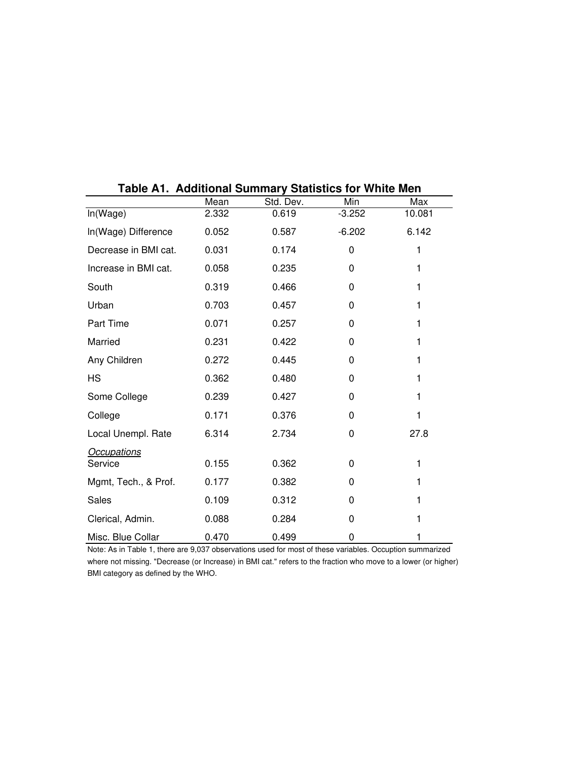|                      | uu<br>VIIUI VUIIIIIIUI Ț<br>Mean | Std. Dev. | Min      | Max    |
|----------------------|----------------------------------|-----------|----------|--------|
| In(Wage)             | 2.332                            | 0.619     | $-3.252$ | 10.081 |
| In(Wage) Difference  | 0.052                            | 0.587     | $-6.202$ | 6.142  |
| Decrease in BMI cat. | 0.031                            | 0.174     | 0        | 1      |
| Increase in BMI cat. | 0.058                            | 0.235     | 0        | 1      |
| South                | 0.319                            | 0.466     | 0        | 1      |
| Urban                | 0.703                            | 0.457     | $\Omega$ | 1      |
| Part Time            | 0.071                            | 0.257     | 0        | 1      |
| Married              | 0.231                            | 0.422     | 0        | 1      |
| Any Children         | 0.272                            | 0.445     | 0        | 1      |
| <b>HS</b>            | 0.362                            | 0.480     | 0        | 1      |
| Some College         | 0.239                            | 0.427     | 0        | 1      |
| College              | 0.171                            | 0.376     | $\Omega$ | 1      |
| Local Unempl. Rate   | 6.314                            | 2.734     | 0        | 27.8   |
| Occupations          |                                  |           |          |        |
| Service              | 0.155                            | 0.362     | 0        | 1      |
| Mgmt, Tech., & Prof. | 0.177                            | 0.382     | 0        | 1      |
| Sales                | 0.109                            | 0.312     | 0        | 1      |
| Clerical, Admin.     | 0.088                            | 0.284     | 0        | 1      |
| Misc. Blue Collar    | 0.470                            | 0.499     | 0        | 1      |

**Table A1. Additional Summary Statistics for White Men**

Note: As in Table 1, there are 9,037 observations used for most of these variables. Occuption summarized where not missing. "Decrease (or Increase) in BMI cat." refers to the fraction who move to a lower (or higher) BMI category as defined by the WHO.